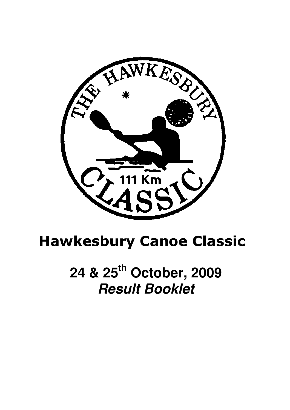

# Hawkesbury Canoe Classic

**24 & 25th October, 2009 Result Booklet**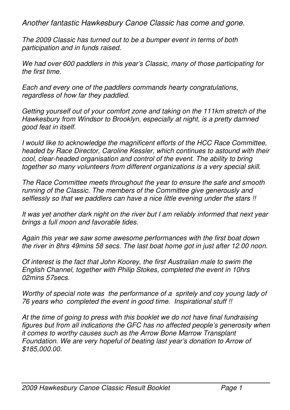Another fantastic Hawkesbury Canoe Classic has come and gone.

The 2009 Classic has turned out to be a bumper event in terms of both participation and in funds raised.

We had over 600 paddlers in this year's Classic, many of those participating for the first time.

Each and every one of the paddlers commands hearty congratulations, regardless of how far they paddled.

Getting yourself out of your comfort zone and taking on the 111km stretch of the Hawkesbury from Windsor to Brooklyn, especially at night, is a pretty damned good feat in itself.

I would like to acknowledge the magnificent efforts of the HCC Race Committee, headed by Race Director, Caroline Kessler, which continues to astound with their cool, clear-headed organisation and control of the event. The ability to bring together so many volunteers from different organizations is a very special skill.

The Race Committee meets throughout the year to ensure the safe and smooth running of the Classic. The members of the Committee give generously and selflessly so that we paddlers can have a nice little evening under the stars !!

It was yet another dark night on the river but I am reliably informed that next year brings a full moon and favorable tides.

Again this year we saw some awesome performances with the first boat down the river in 8hrs 49mins 58 secs. The last boat home got in just after 12.00 noon.

Of interest is the fact that John Koorey, the first Australian male to swim the English Channel, together with Philip Stokes, completed the event in 10hrs 02mins 57secs.

Worthy of special note was the performance of a spritely and coy young lady of 76 years who completed the event in good time. Inspirational stuff !!

At the time of going to press with this booklet we do not have final fundraising figures but from all indications the GFC has no affected people's generosity when it comes to worthy causes such as the Arrow Bone Marrow Transplant Foundation. We are very hopeful of beating last year's donation to Arrow of \$185,000.00.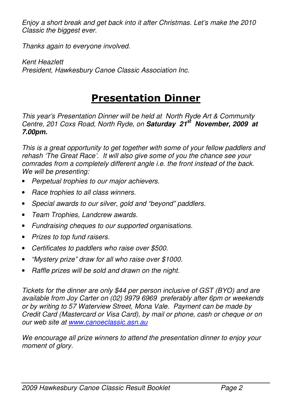Enjoy a short break and get back into it after Christmas. Let's make the 2010 Classic the biggest ever.

Thanks again to everyone involved.

Kent Heazlett President, Hawkesbury Canoe Classic Association Inc.

### Presentation Dinner

This year's Presentation Dinner will be held at North Ryde Art & Community Centre, 201 Coxs Road, North Ryde, on **Saturday 21st November, 2009 at 7.00pm.** 

This is a great opportunity to get together with some of your fellow paddlers and rehash 'The Great Race'. It will also give some of you the chance see your comrades from a completely different angle i.e. the front instead of the back. We will be presenting:

- Perpetual trophies to our major achievers.
- Race trophies to all class winners.
- Special awards to our silver, gold and "beyond" paddlers.
- Team Trophies, Landcrew awards.
- Fundraising cheques to our supported organisations.
- Prizes to top fund raisers.
- Certificates to paddlers who raise over \$500.
- "Mystery prize" draw for all who raise over \$1000.
- Raffle prizes will be sold and drawn on the night.

Tickets for the dinner are only \$44 per person inclusive of GST (BYO) and are available from Joy Carter on (02) 9979 6969 preferably after 6pm or weekends or by writing to 57 Waterview Street, Mona Vale. Payment can be made by Credit Card (Mastercard or Visa Card), by mail or phone, cash or cheque or on our web site at www.canoeclassic.asn.au

We encourage all prize winners to attend the presentation dinner to enjoy your moment of glory.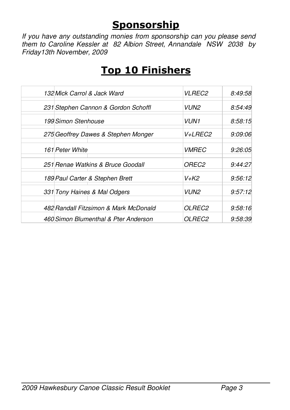## **Sponsorship**

If you have any outstanding monies from sponsorship can you please send them to Caroline Kessler at 82 Albion Street, Annandale NSW 2038 by Friday13th November, 2009

| 132 Mick Carrol & Jack Ward           | <i>VLREC2</i>       | 8:49:58 |
|---------------------------------------|---------------------|---------|
| 231 Stephen Cannon & Gordon Schoffl   | VUN2                | 8:54:49 |
| 199 Simon Stenhouse                   | <b>VUN1</b>         | 8:58:15 |
| 275 Geoffrey Dawes & Stephen Monger   | V+LREC2             | 9:09:06 |
| 161 Peter White                       | <i><b>VMREC</b></i> | 9:26:05 |
| 251 Renae Watkins & Bruce Goodall     | <i>OREC2</i>        | 9:44:27 |
| 189 Paul Carter & Stephen Brett       | V+K2                | 9:56:12 |
| 331 Tony Haines & Mal Odgers          | VUN2                | 9:57:12 |
| 482 Randall Fitzsimon & Mark McDonald | <i>OLREC2</i>       | 9:58:16 |
| 460 Simon Blumenthal & Pter Anderson  | <i>OLREC2</i>       | 9:58:39 |

# Top 10 Finishers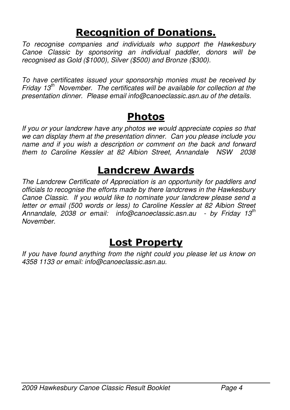# Recognition of Donations.

To recognise companies and individuals who support the Hawkesbury Canoe Classic by sponsoring an individual paddler, donors will be recognised as Gold (\$1000), Silver (\$500) and Bronze (\$300).

To have certificates issued your sponsorship monies must be received by Friday  $13<sup>th</sup>$  November. The certificates will be available for collection at the presentation dinner. Please email info@canoeclassic.asn.au of the details.

### Photos

If you or your landcrew have any photos we would appreciate copies so that we can display them at the presentation dinner. Can you please include you name and if you wish a description or comment on the back and forward them to Caroline Kessler at 82 Albion Street, Annandale NSW 2038

# Landcrew Awards

The Landcrew Certificate of Appreciation is an opportunity for paddlers and officials to recognise the efforts made by there landcrews in the Hawkesbury Canoe Classic. If you would like to nominate your landcrew please send a letter or email (500 words or less) to Caroline Kessler at 82 Albion Street Annandale, 2038 or email: info@canoeclassic.asn.au - by Friday 13<sup>th</sup> November.

# Lost Property

If you have found anything from the night could you please let us know on 4358 1133 or email: info@canoeclassic.asn.au.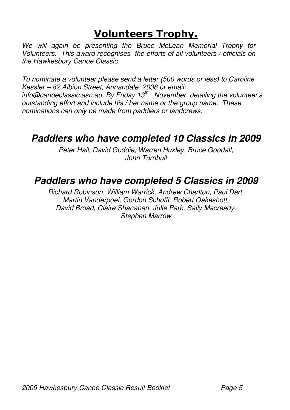# Volunteers Trophy.

We will again be presenting the Bruce McLean Memorial Trophy for Volunteers. This award recognises the efforts of all volunteers / officials on the Hawkesbury Canoe Classic.

To nominate a volunteer please send a letter (500 words or less) to Caroline Kessler – 82 Albion Street, Annandale 2038 or email: info@canoeclassic.asn.au. By Friday  $13<sup>th</sup>$  November, detailing the volunteer's outstanding effort and include his / her name or the group name. These nominations can only be made from paddlers or landcrews.

### **Paddlers who have completed 10 Classics in 2009**

Peter Hall, David Goddie, Warren Huxley, Bruce Goodall, John Turnbull

### **Paddlers who have completed 5 Classics in 2009**

Richard Robinson, William Warrick, Andrew Charlton, Paul Dart, Martin Vanderpoel, Gordon Schoffl, Robert Oakeshott, David Broad, Claire Shanahan, Julie Park, Sally Macready, Stephen Marrow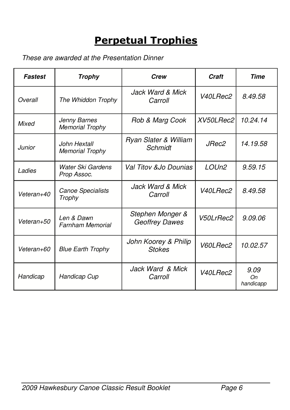# Perpetual Trophies

These are awarded at the Presentation Dinner

| Fastest    | <b>Trophy</b>                          | <b>Crew</b>                           | Craft             | <b>Time</b>             |
|------------|----------------------------------------|---------------------------------------|-------------------|-------------------------|
| Overall    | The Whiddon Trophy                     | Jack Ward & Mick<br>Carroll           | V40LRec2          | 8.49.58                 |
| Mixed      | Jenny Barnes<br><b>Memorial Trophy</b> | Rob & Marg Cook                       | XV50LRec2         | 10.24.14                |
| Junior     | John Hextall<br><b>Memorial Trophy</b> | Ryan Slater & William<br>Schmidt      | <i>JRec2</i>      | 14.19.58                |
| Ladies     | Water Ski Gardens<br>Prop Assoc.       | Val Titov &Jo Dounias                 | LOUn <sub>2</sub> | 9.59.15                 |
| Veteran+40 | Canoe Specialists<br>Trophy            | Jack Ward & Mick<br>Carroll           | V40LRec2          | 8.49.58                 |
| Veteran+50 | Len & Dawn<br>Farnham Memorial         | Stephen Monger &<br>Geoffrey Dawes    | V50LrRec2         | 9.09.06                 |
| Veteran+60 | <b>Blue Earth Trophy</b>               | John Koorey & Philip<br><b>Stokes</b> | V60LRec2          | 10.02.57                |
| Handicap   | Handicap Cup                           | Jack Ward & Mick<br>Carroll           | V40LRec2          | 9.09<br>Оn<br>handicapp |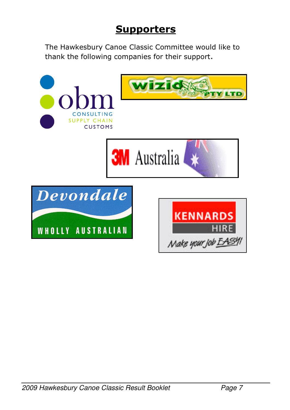## **Supporters**

The Hawkesbury Canoe Classic Committee would like to thank the following companies for their support.

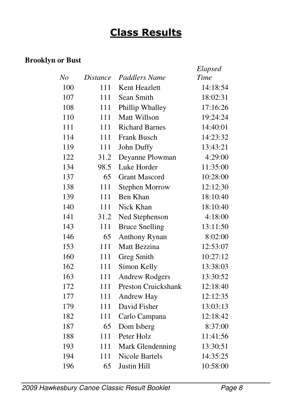# Class Results

#### **Brooklyn or Bust**

|     |          |                            | Elapsed  |
|-----|----------|----------------------------|----------|
| No  | Distance | Paddlers Name              | Time     |
| 100 | 111      | Kent Heazlett              | 14:18:54 |
| 107 | 111      | Sean Smith                 | 18:02:31 |
| 108 | 111      | Phillip Whalley            | 17:16:26 |
| 110 | 111      | <b>Matt Willson</b>        | 19:24:24 |
| 111 | 111      | <b>Richard Barnes</b>      | 14:40:01 |
| 114 | 111      | Frank Busch                | 14:23:32 |
| 119 | 111      | John Duffy                 | 13:43:21 |
| 122 | 31.2     | Deyanne Plowman            | 4:29:00  |
| 134 | 98.5     | Luke Horder                | 11:35:00 |
| 137 | 65       | <b>Grant Mascord</b>       | 10:28:00 |
| 138 | 111      | <b>Stephen Morrow</b>      | 12:12:30 |
| 139 | 111      | Ben Khan                   | 18:10:40 |
| 140 | 111      | Nick Khan                  | 18:10:40 |
| 141 | 31.2     | Ned Stephenson             | 4:18:00  |
| 143 | 111      | <b>Bruce Snelling</b>      | 13:11:50 |
| 146 | 65       | <b>Anthony Rynan</b>       | 8:02:00  |
| 153 | 111      | Matt Bezzina               | 12:53:07 |
| 160 | 111      | Greg Smith                 | 10:27:12 |
| 162 | 111      | Simon Kelly                | 13:38:03 |
| 163 | 111      | <b>Andrew Rodgers</b>      | 13:30:52 |
| 172 | 111      | <b>Preston Cruickshank</b> | 12:18:40 |
| 177 | 111      | Andrew Hay                 | 12:12:35 |
| 179 | 111      | David Fisher               | 13:03:13 |
| 182 | 111      | Carlo Campana              | 12:18:42 |
| 187 | 65       | Dom Isberg                 | 8:37:00  |
| 188 | 111      | Peter Holz                 | 11:41:56 |
| 193 | 111      | Mark Glendenning           | 13:30:51 |
| 194 | 111      | <b>Nicole Bartels</b>      | 14:35:25 |
| 196 | 65       | Justin Hill                | 10:58:00 |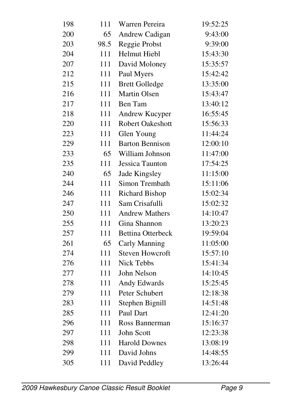| 198 | 111  | Warren Pereira           | 19:52:25 |
|-----|------|--------------------------|----------|
| 200 | 65   | Andrew Cadigan           | 9:43:00  |
| 203 | 98.5 | Reggie Probst            | 9:39:00  |
| 204 | 111  | Helmut Hiebl             | 15:43:30 |
| 207 | 111  | David Moloney            | 15:35:57 |
| 212 | 111  | Paul Myers               | 15:42:42 |
| 215 | 111  | <b>Brett Golledge</b>    | 13:35:00 |
| 216 | 111  | Martin Olsen             | 15:43:47 |
| 217 | 111  | Ben Tam                  | 13:40:12 |
| 218 | 111  | Andrew Kucyper           | 16:55:45 |
| 220 | 111  | <b>Robert Oakeshott</b>  | 15:56:33 |
| 223 | 111  | Glen Young               | 11:44:24 |
| 229 | 111  | <b>Barton Bennison</b>   | 12:00:10 |
| 233 | 65   | William Johnson          | 11:47:00 |
| 235 | 111  | Jessica Taunton          | 17:54:25 |
| 240 | 65   | Jade Kingsley            | 11:15:00 |
| 244 | 111  | Simon Trembath           | 15:11:06 |
| 246 | 111  | <b>Richard Bishop</b>    | 15:02:34 |
| 247 | 111  | Sam Crisafulli           | 15:02:32 |
| 250 | 111  | <b>Andrew Mathers</b>    | 14:10:47 |
| 255 | 111  | Gina Shannon             | 13:20:23 |
| 257 | 111  | <b>Bettina Otterbeck</b> | 19:59:04 |
| 261 | 65   | Carly Manning            | 11:05:00 |
| 274 | 111  | <b>Steven Howcroft</b>   | 15:57:10 |
| 276 | 111  | <b>Nick Tebbs</b>        | 15:41:34 |
| 277 | 111  | John Nelson              | 14:10:45 |
| 278 | 111  | Andy Edwards             | 15:25:45 |
| 279 | 111  | Peter Schubert           | 12:18:38 |
| 283 | 111  | Stephen Bignill          | 14:51:48 |
| 285 | 111  | Paul Dart                | 12:41:20 |
| 296 | 111  | Ross Bannerman           | 15:16:37 |
| 297 | 111  | John Scott               | 12:23:38 |
| 298 | 111  | <b>Harold Downes</b>     | 13:08:19 |
| 299 | 111  | David Johns              | 14:48:55 |
| 305 | 111  | David Peddley            | 13:26:44 |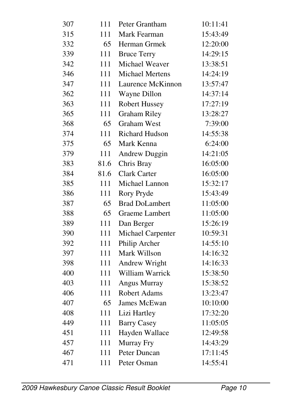| 307 | 111  | Peter Grantham           | 10:11:41 |
|-----|------|--------------------------|----------|
| 315 | 111  | Mark Fearman             | 15:43:49 |
| 332 | 65   | Herman Grmek             | 12:20:00 |
| 339 | 111  | <b>Bruce Terry</b>       | 14:29:15 |
| 342 | 111  | Michael Weaver           | 13:38:51 |
| 346 | 111  | <b>Michael Mertens</b>   | 14:24:19 |
| 347 | 111  | Laurence McKinnon        | 13:57:47 |
| 362 | 111  | Wayne Dillon             | 14:37:14 |
| 363 | 111  | <b>Robert Hussey</b>     | 17:27:19 |
| 365 | 111  | <b>Graham Riley</b>      | 13:28:27 |
| 368 | 65   | <b>Graham West</b>       | 7:39:00  |
| 374 | 111  | <b>Richard Hudson</b>    | 14:55:38 |
| 375 | 65   | Mark Kenna               | 6:24:00  |
| 379 | 111  | <b>Andrew Duggin</b>     | 14:21:05 |
| 383 | 81.6 | Chris Bray               | 16:05:00 |
| 384 | 81.6 | <b>Clark Carter</b>      | 16:05:00 |
| 385 | 111  | Michael Lannon           | 15:32:17 |
| 386 | 111  | Rory Pryde               | 15:43:49 |
| 387 | 65   | <b>Brad DoLambert</b>    | 11:05:00 |
| 388 | 65   | <b>Graeme Lambert</b>    | 11:05:00 |
| 389 | 111  | Dan Berger               | 15:26:19 |
| 390 | 111  | <b>Michael Carpenter</b> | 10:59:31 |
| 392 | 111  | Philip Archer            | 14:55:10 |
| 397 | 111  | Mark Willson             | 14:16:32 |
| 398 | 111  | Andrew Wright            | 14:16:33 |
| 400 | 111  | William Warrick          | 15:38:50 |
| 403 | 111  | <b>Angus Murray</b>      | 15:38:52 |
| 406 | 111  | <b>Robert Adams</b>      | 13:23:47 |
| 407 | 65   | <b>James McEwan</b>      | 10:10:00 |
| 408 | 111  | Lizi Hartley             | 17:32:20 |
| 449 | 111  | <b>Barry Casey</b>       | 11:05:05 |
| 451 | 111  | Hayden Wallace           | 12:49:58 |
| 457 | 111  | Murray Fry               | 14:43:29 |
| 467 | 111  | Peter Duncan             | 17:11:45 |
| 471 | 111  | Peter Osman              | 14:55:41 |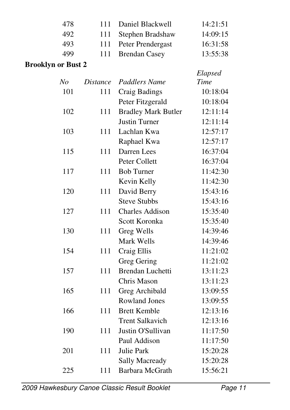| 478 | 111 Daniel Blackwell  | 14:21:51 |
|-----|-----------------------|----------|
| 492 | 111 Stephen Bradshaw  | 14:09:15 |
| 493 | 111 Peter Prendergast | 16:31:58 |
| 499 | 111 Brendan Casey     | 13:55:38 |
|     |                       |          |

#### **Brooklyn or Bust 2**

|     |                 |                            | Elapsed  |
|-----|-----------------|----------------------------|----------|
| No  | <b>Distance</b> | <b>Paddlers Name</b>       | Time     |
| 101 | 111             | Craig Badings              | 10:18:04 |
|     |                 | Peter Fitzgerald           | 10:18:04 |
| 102 | 111             | <b>Bradley Mark Butler</b> | 12:11:14 |
|     |                 | <b>Justin Turner</b>       | 12:11:14 |
| 103 | 111             | Lachlan Kwa                | 12:57:17 |
|     |                 | Raphael Kwa                | 12:57:17 |
| 115 | 111             | Darren Lees                | 16:37:04 |
|     |                 | Peter Collett              | 16:37:04 |
| 117 | 111             | <b>Bob Turner</b>          | 11:42:30 |
|     |                 | Kevin Kelly                | 11:42:30 |
| 120 | 111             | David Berry                | 15:43:16 |
|     |                 | <b>Steve Stubbs</b>        | 15:43:16 |
| 127 | 111             | <b>Charles Addison</b>     | 15:35:40 |
|     |                 | Scott Koronka              | 15:35:40 |
| 130 | 111             | Greg Wells                 | 14:39:46 |
|     |                 | Mark Wells                 | 14:39:46 |
| 154 | 111             | Craig Ellis                | 11:21:02 |
|     |                 | <b>Greg Gering</b>         | 11:21:02 |
| 157 | 111             | Brendan Luchetti           | 13:11:23 |
|     |                 | Chris Mason                | 13:11:23 |
| 165 | 111             | Greg Archibald             | 13:09:55 |
|     |                 | <b>Rowland Jones</b>       | 13:09:55 |
| 166 | 111             | <b>Brett Kemble</b>        | 12:13:16 |
|     |                 | <b>Trent Salkavich</b>     | 12:13:16 |
| 190 | 111             | Justin O'Sullivan          | 11:17:50 |
|     |                 | Paul Addison               | 11:17:50 |
| 201 | 111             | Julie Park                 | 15:20:28 |
|     |                 | <b>Sally Macready</b>      | 15:20:28 |
| 225 | 111             | Barbara McGrath            | 15:56:21 |
|     |                 |                            |          |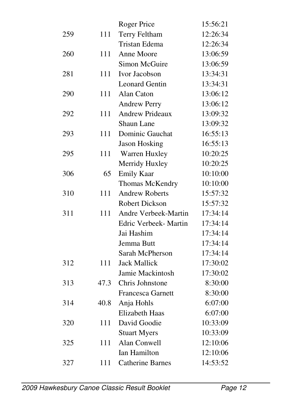|     |      | <b>Roger Price</b>       | 15:56:21 |
|-----|------|--------------------------|----------|
| 259 | 111  | <b>Terry Feltham</b>     | 12:26:34 |
|     |      | <b>Tristan Edema</b>     | 12:26:34 |
| 260 | 111  | Anne Moore               | 13:06:59 |
|     |      | Simon McGuire            | 13:06:59 |
| 281 | 111  | Ivor Jacobson            | 13:34:31 |
|     |      | <b>Leonard Gentin</b>    | 13:34:31 |
| 290 | 111  | Alan Caton               | 13:06:12 |
|     |      | <b>Andrew Perry</b>      | 13:06:12 |
| 292 | 111  | <b>Andrew Prideaux</b>   | 13:09:32 |
|     |      | <b>Shaun Lane</b>        | 13:09:32 |
| 293 | 111  | Dominic Gauchat          | 16:55:13 |
|     |      | <b>Jason Hosking</b>     | 16:55:13 |
| 295 | 111  | Warren Huxley            | 10:20:25 |
|     |      | Merridy Huxley           | 10:20:25 |
| 306 | 65   | <b>Emily Kaar</b>        | 10:10:00 |
|     |      | Thomas McKendry          | 10:10:00 |
| 310 | 111  | <b>Andrew Roberts</b>    | 15:57:32 |
|     |      | <b>Robert Dickson</b>    | 15:57:32 |
| 311 | 111  | Andre Verbeek-Martin     | 17:34:14 |
|     |      | Edric Verbeek- Martin    | 17:34:14 |
|     |      | Jai Hashim               | 17:34:14 |
|     |      | Jemma Butt               | 17:34:14 |
|     |      | Sarah McPherson          | 17:34:14 |
| 312 | 111  | <b>Jack Mallick</b>      | 17:30:02 |
|     |      | Jamie Mackintosh         | 17:30:02 |
| 313 | 47.3 | Chris Johnstone          | 8:30:00  |
|     |      | <b>Francesca Garnett</b> | 8:30:00  |
| 314 | 40.8 | Anja Hohls               | 6:07:00  |
|     |      | Elizabeth Haas           | 6:07:00  |
| 320 | 111  | David Goodie             | 10:33:09 |
|     |      | <b>Stuart Myers</b>      | 10:33:09 |
| 325 | 111  | Alan Conwell             | 12:10:06 |
|     |      | Ian Hamilton             | 12:10:06 |
| 327 | 111  | <b>Catherine Barnes</b>  | 14:53:52 |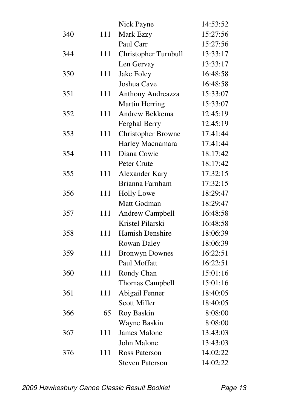|     |     | Nick Payne                | 14:53:52 |
|-----|-----|---------------------------|----------|
| 340 | 111 | Mark Ezzy                 | 15:27:56 |
|     |     | Paul Carr                 | 15:27:56 |
| 344 | 111 | Christopher Turnbull      | 13:33:17 |
|     |     | Len Gervay                | 13:33:17 |
| 350 | 111 | <b>Jake Foley</b>         | 16:48:58 |
|     |     | Joshua Cave               | 16:48:58 |
| 351 | 111 | Anthony Andreazza         | 15:33:07 |
|     |     | <b>Martin Herring</b>     | 15:33:07 |
| 352 | 111 | Andrew Bekkema            | 12:45:19 |
|     |     | Ferghal Berry             | 12:45:19 |
| 353 | 111 | <b>Christopher Browne</b> | 17:41:44 |
|     |     | Harley Macnamara          | 17:41:44 |
| 354 | 111 | Diana Cowie               | 18:17:42 |
|     |     | Peter Crute               | 18:17:42 |
| 355 | 111 | <b>Alexander Kary</b>     | 17:32:15 |
|     |     | Brianna Farnham           | 17:32:15 |
| 356 | 111 | <b>Holly Lowe</b>         | 18:29:47 |
|     |     | Matt Godman               | 18:29:47 |
| 357 | 111 | <b>Andrew Campbell</b>    | 16:48:58 |
|     |     | Kristel Pilarski          | 16:48:58 |
| 358 | 111 | Hamish Denshire           | 18:06:39 |
|     |     | Rowan Daley               | 18:06:39 |
| 359 | 111 | <b>Bronwyn Downes</b>     | 16:22:51 |
|     |     | Paul Moffatt              | 16:22:51 |
| 360 | 111 | Rondy Chan                | 15:01:16 |
|     |     | <b>Thomas Campbell</b>    | 15:01:16 |
| 361 | 111 | Abigail Fenner            | 18:40:05 |
|     |     | <b>Scott Miller</b>       | 18:40:05 |
| 366 | 65  | Roy Baskin                | 8:08:00  |
|     |     | Wayne Baskin              | 8:08:00  |
| 367 | 111 | <b>James Malone</b>       | 13:43:03 |
|     |     | John Malone               | 13:43:03 |
| 376 | 111 | <b>Ross Paterson</b>      | 14:02:22 |
|     |     | <b>Steven Paterson</b>    | 14:02:22 |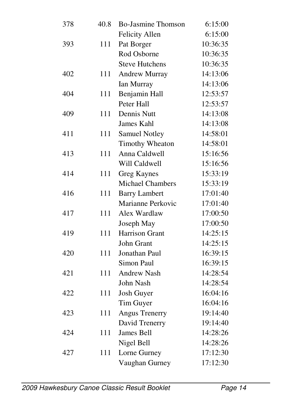| 378 | 40.8 | <b>Bo-Jasmine Thomson</b> | 6:15:00  |
|-----|------|---------------------------|----------|
|     |      | <b>Felicity Allen</b>     | 6:15:00  |
| 393 | 111  | Pat Borger                | 10:36:35 |
|     |      | Rod Osborne               | 10:36:35 |
|     |      | <b>Steve Hutchens</b>     | 10:36:35 |
| 402 | 111  | Andrew Murray             | 14:13:06 |
|     |      | Ian Murray                | 14:13:06 |
| 404 | 111  | Benjamin Hall             | 12:53:57 |
|     |      | Peter Hall                | 12:53:57 |
| 409 | 111  | <b>Dennis Nutt</b>        | 14:13:08 |
|     |      | <b>James Kahl</b>         | 14:13:08 |
| 411 | 111  | <b>Samuel Notley</b>      | 14:58:01 |
|     |      | Timothy Wheaton           | 14:58:01 |
| 413 | 111  | Anna Caldwell             | 15:16:56 |
|     |      | Will Caldwell             | 15:16:56 |
| 414 | 111  | <b>Greg Kaynes</b>        | 15:33:19 |
|     |      | <b>Michael Chambers</b>   | 15:33:19 |
| 416 | 111  | <b>Barry Lambert</b>      | 17:01:40 |
|     |      | Marianne Perkovic         | 17:01:40 |
| 417 | 111  | Alex Wardlaw              | 17:00:50 |
|     |      | Joseph May                | 17:00:50 |
| 419 | 111  | <b>Harrison Grant</b>     | 14:25:15 |
|     |      | John Grant                | 14:25:15 |
| 420 | 111  | Jonathan Paul             | 16:39:15 |
|     |      | Simon Paul                | 16:39:15 |
| 421 | 111  | <b>Andrew Nash</b>        | 14:28:54 |
|     |      | John Nash                 | 14:28:54 |
| 422 | 111  | Josh Guyer                | 16:04:16 |
|     |      | Tim Guyer                 | 16:04:16 |
| 423 | 111  | <b>Angus Trenerry</b>     | 19:14:40 |
|     |      | David Trenerry            | 19:14:40 |
| 424 | 111  | James Bell                | 14:28:26 |
|     |      | Nigel Bell                | 14:28:26 |
| 427 | 111  | Lorne Gurney              | 17:12:30 |
|     |      | Vaughan Gurney            | 17:12:30 |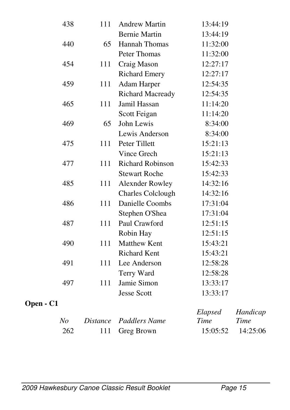|           | 438            | 111             | <b>Andrew Martin</b>     | 13:44:19 |          |
|-----------|----------------|-----------------|--------------------------|----------|----------|
|           |                |                 | <b>Bernie Martin</b>     | 13:44:19 |          |
|           | 440            | 65              | <b>Hannah Thomas</b>     | 11:32:00 |          |
|           |                |                 | Peter Thomas             | 11:32:00 |          |
|           | 454            | 111             | Craig Mason              | 12:27:17 |          |
|           |                |                 | <b>Richard Emery</b>     | 12:27:17 |          |
|           | 459            | 111             | <b>Adam Harper</b>       | 12:54:35 |          |
|           |                |                 | <b>Richard Macready</b>  | 12:54:35 |          |
|           | 465            | 111             | Jamil Hassan             | 11:14:20 |          |
|           |                |                 | Scott Feigan             | 11:14:20 |          |
|           | 469            | 65              | John Lewis               | 8:34:00  |          |
|           |                |                 | Lewis Anderson           | 8:34:00  |          |
|           | 475            | 111             | Peter Tillett            | 15:21:13 |          |
|           |                |                 | Vince Grech              | 15:21:13 |          |
|           | 477            | 111             | Richard Robinson         | 15:42:33 |          |
|           |                |                 | <b>Stewart Roche</b>     | 15:42:33 |          |
|           | 485            | 111             | <b>Alexnder Rowley</b>   | 14:32:16 |          |
|           |                |                 | <b>Charles Colclough</b> | 14:32:16 |          |
|           | 486            | 111             | Danielle Coombs          | 17:31:04 |          |
|           |                |                 | Stephen O'Shea           | 17:31:04 |          |
|           | 487            | 111             | Paul Crawford            | 12:51:15 |          |
|           |                |                 | Robin Hay                | 12:51:15 |          |
|           | 490            | 111             | <b>Matthew Kent</b>      | 15:43:21 |          |
|           |                |                 | <b>Richard Kent</b>      | 15:43:21 |          |
|           | 491            | 111             | Lee Anderson             | 12:58:28 |          |
|           |                |                 | Terry Ward               | 12:58:28 |          |
|           | 497            | 111             | Jamie Simon              | 13:33:17 |          |
|           |                |                 | <b>Jesse Scott</b>       | 13:33:17 |          |
| Open - C1 |                |                 |                          |          |          |
|           |                |                 |                          | Elapsed  | Handicap |
|           | N <sub>o</sub> | <i>Distance</i> | Paddlers Name            | Time     | Time     |
|           | 262            | 111             | Greg Brown               | 15:05:52 | 14:25:06 |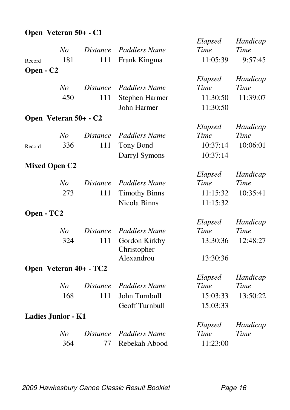### **Open Veteran 50+ - C1**

|                       |                           |                 |                              | Elapsed  | Handicap    |
|-----------------------|---------------------------|-----------------|------------------------------|----------|-------------|
|                       | N <sub>O</sub>            | Distance        | <b>Paddlers Name</b>         | Time     | <b>Time</b> |
| Record                | 181                       | 111             | Frank Kingma                 | 11:05:39 | 9:57:45     |
| Open - C <sub>2</sub> |                           |                 |                              |          |             |
|                       |                           |                 |                              | Elapsed  | Handicap    |
|                       | No                        | <i>Distance</i> | <b>Paddlers Name</b>         | Time     | <b>Time</b> |
|                       | 450                       | 111             | Stephen Harmer               | 11:30:50 | 11:39:07    |
|                       |                           |                 | John Harmer                  | 11:30:50 |             |
|                       | Open Veteran 50+ - C2     |                 |                              |          |             |
|                       |                           |                 |                              | Elapsed  | Handicap    |
|                       | No                        | <i>Distance</i> | Paddlers Name                | Time     | <b>Time</b> |
| Record                | 336                       | 111             | Tony Bond                    | 10:37:14 | 10:06:01    |
|                       |                           |                 | Darryl Symons                | 10:37:14 |             |
|                       | <b>Mixed Open C2</b>      |                 |                              |          |             |
|                       |                           |                 |                              | Elapsed  | Handicap    |
|                       | No                        | <b>Distance</b> | <b>Paddlers Name</b>         | Time     | <b>Time</b> |
|                       | 273                       | 111             | <b>Timothy Binns</b>         | 11:15:32 | 10:35:41    |
|                       |                           |                 | Nicola Binns                 | 11:15:32 |             |
| Open - TC2            |                           |                 |                              |          |             |
|                       |                           |                 |                              | Elapsed  | Handicap    |
|                       | N <sub>O</sub>            | <i>Distance</i> | <b>Paddlers Name</b>         | Time     | <b>Time</b> |
|                       | 324                       | 111             | Gordon Kirkby<br>Christopher | 13:30:36 | 12:48:27    |
|                       |                           |                 | Alexandrou                   | 13:30:36 |             |
|                       | Open Veteran 40+ - TC2    |                 |                              |          |             |
|                       |                           |                 |                              | Elapsed  | Handicap    |
|                       | N <sub>O</sub>            | <b>Distance</b> | <b>Paddlers Name</b>         | Time     | Time        |
|                       | 168                       | 111             | John Turnbull                | 15:03:33 | 13:50:22    |
|                       |                           |                 | Geoff Turnbull               | 15:03:33 |             |
|                       | <b>Ladies Junior - K1</b> |                 |                              |          |             |
|                       |                           |                 |                              | Elapsed  | Handicap    |
|                       | N <sub>O</sub>            | <i>Distance</i> | <b>Paddlers Name</b>         | Time     | Time        |
|                       | 364                       | 77              | Rebekah Abood                | 11:23:00 |             |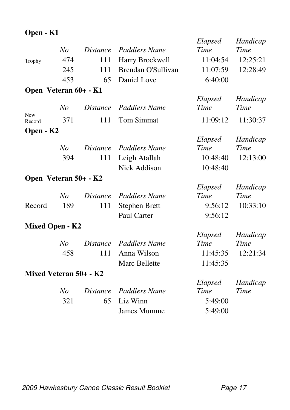### **Open - K1**

|                        |                |                 |                      | Elapsed     | Handicap    |
|------------------------|----------------|-----------------|----------------------|-------------|-------------|
|                        | No             | <i>Distance</i> | <b>Paddlers Name</b> | Time        | Time        |
| Trophy                 | 474            | 111             | Harry Brockwell      | 11:04:54    | 12:25:21    |
|                        | 245            | 111             | Brendan O'Sullivan   | 11:07:59    | 12:28:49    |
|                        | 453            | 65              | Daniel Love          | 6:40:00     |             |
| Open Veteran 60+ - K1  |                |                 |                      |             |             |
|                        |                |                 |                      | Elapsed     | Handicap    |
|                        | N <sub>O</sub> | <i>Distance</i> | <b>Paddlers Name</b> | Time        | <b>Time</b> |
| <b>New</b><br>Record   | 371            | 111             | <b>Tom Simmat</b>    | 11:09:12    | 11:30:37    |
| Open - K2              |                |                 |                      |             |             |
|                        |                |                 |                      | Elapsed     | Handicap    |
|                        | No             | <i>Distance</i> | <b>Paddlers Name</b> | Time        | Time        |
|                        | 394            | 111             | Leigh Atallah        | 10:48:40    | 12:13:00    |
|                        |                |                 | Nick Addison         | 10:48:40    |             |
| Open Veteran 50+ - K2  |                |                 |                      |             |             |
|                        |                |                 |                      | Elapsed     | Handicap    |
|                        | No             | <b>Distance</b> | <b>Paddlers Name</b> | Time        | Time        |
| Record                 | 189            | 111             | <b>Stephen Brett</b> | 9:56:12     | 10:33:10    |
|                        |                |                 | Paul Carter          | 9:56:12     |             |
| <b>Mixed Open - K2</b> |                |                 |                      |             |             |
|                        |                |                 |                      | Elapsed     | Handicap    |
|                        | No             | <i>Distance</i> | Paddlers Name        | <b>Time</b> | Time        |
|                        | 458            | 111             | Anna Wilson          | 11:45:35    | 12:21:34    |
|                        |                |                 | Marc Bellette        | 11:45:35    |             |
| Mixed Veteran 50+ - K2 |                |                 |                      |             |             |
|                        |                |                 |                      | Elapsed     | Handicap    |
|                        | No             | <i>Distance</i> | Paddlers Name        | Time        | Time        |
|                        | 321            | 65              | Liz Winn             | 5:49:00     |             |
|                        |                |                 | James Mumme          | 5:49:00     |             |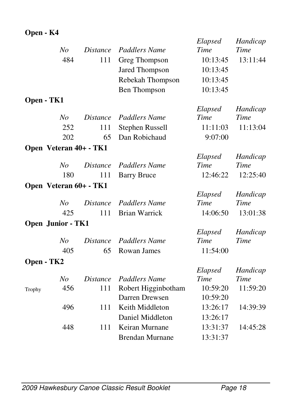### **Open - K4**

|            |                          |                 |                                          | Elapsed              | Handicap    |
|------------|--------------------------|-----------------|------------------------------------------|----------------------|-------------|
|            | N <sub>o</sub>           | <i>Distance</i> | <b>Paddlers Name</b>                     | Time                 | <b>Time</b> |
|            | 484                      | 111             | Greg Thompson                            | 10:13:45             | 13:11:44    |
|            |                          |                 | Jared Thompson                           | 10:13:45             |             |
|            |                          |                 | Rebekah Thompson                         | 10:13:45             |             |
|            |                          |                 | <b>Ben Thompson</b>                      | 10:13:45             |             |
| Open - TK1 |                          |                 |                                          |                      |             |
|            |                          |                 |                                          | Elapsed              | Handicap    |
|            | N <sub>o</sub>           | <i>Distance</i> | <b>Paddlers Name</b>                     | Time                 | <b>Time</b> |
|            | 252                      | 111             | Stephen Russell                          | 11:11:03             | 11:13:04    |
|            | 202                      | 65              | Dan Robichaud                            | 9:07:00              |             |
|            | Open Veteran 40+ - TK1   |                 |                                          |                      |             |
|            |                          |                 |                                          | Elapsed              | Handicap    |
|            | N <sub>o</sub>           | <i>Distance</i> | <b>Paddlers Name</b>                     | Time                 | <b>Time</b> |
|            | 180                      | 111             | <b>Barry Bruce</b>                       | 12:46:22             | 12:25:40    |
|            | Open Veteran 60+ - TK1   |                 |                                          |                      |             |
|            |                          |                 |                                          | Elapsed              | Handicap    |
|            | N <sub>o</sub>           | <i>Distance</i> | <b>Paddlers Name</b>                     | Time                 | Time        |
|            | 425                      | 111             | <b>Brian Warrick</b>                     | 14:06:50             | 13:01:38    |
|            | <b>Open Junior - TK1</b> |                 |                                          |                      |             |
|            |                          |                 |                                          | Elapsed              | Handicap    |
|            | No                       | <i>Distance</i> | <b>Paddlers Name</b>                     | Time                 | Time        |
|            | 405                      | 65              | Rowan James                              | 11:54:00             |             |
| Open - TK2 |                          |                 |                                          |                      |             |
|            |                          |                 |                                          | Elapsed              | Handicap    |
|            | N <sub>O</sub>           | <i>Distance</i> | <b>Paddlers Name</b>                     | Time                 | Time        |
| Trophy     | 456                      | 111             | Robert Higginbotham                      | 10:59:20             | 11:59:20    |
|            |                          |                 |                                          |                      |             |
|            |                          |                 | Darren Drewsen                           | 10:59:20             |             |
|            | 496                      | 111             | Keith Middleton                          | 13:26:17             | 14:39:39    |
|            |                          |                 | Daniel Middleton                         | 13:26:17             |             |
|            | 448                      | 111             | Keiran Murnane<br><b>Brendan Murnane</b> | 13:31:37<br>13:31:37 | 14:45:28    |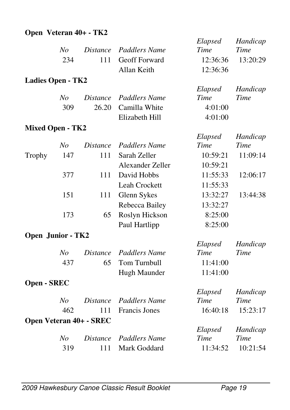### **Open Veteran 40+ - TK2**

|                          |                |                                |                      | Elapsed  | Handicap    |
|--------------------------|----------------|--------------------------------|----------------------|----------|-------------|
|                          | N <sub>o</sub> | <b>Distance</b>                | <b>Paddlers Name</b> | Time     | <b>Time</b> |
|                          | 234            | 111                            | Geoff Forward        | 12:36:36 | 13:20:29    |
|                          |                |                                | Allan Keith          | 12:36:36 |             |
| <b>Ladies Open - TK2</b> |                |                                |                      |          |             |
|                          |                |                                |                      | Elapsed  | Handicap    |
|                          | No             | <b>Distance</b>                | <b>Paddlers Name</b> | Time     | Time        |
|                          | 309            | 26.20                          | Camilla White        | 4:01:00  |             |
|                          |                |                                | Elizabeth Hill       | 4:01:00  |             |
| <b>Mixed Open - TK2</b>  |                |                                |                      |          |             |
|                          |                |                                |                      | Elapsed  | Handicap    |
|                          | N <sub>O</sub> | <i>Distance</i>                | <b>Paddlers Name</b> | Time     | <b>Time</b> |
| Trophy                   | 147            | 111                            | Sarah Zeller         | 10:59:21 | 11:09:14    |
|                          |                |                                | Alexander Zeller     | 10:59:21 |             |
|                          | 377            | 111                            | David Hobbs          | 11:55:33 | 12:06:17    |
|                          |                |                                | Leah Crockett        | 11:55:33 |             |
|                          | 151            | 111                            | Glenn Sykes          | 13:32:27 | 13:44:38    |
|                          |                |                                | Rebecca Bailey       | 13:32:27 |             |
|                          | 173            | 65                             | Roslyn Hickson       | 8:25:00  |             |
|                          |                |                                | Paul Hartlipp        | 8:25:00  |             |
| <b>Open Junior - TK2</b> |                |                                |                      |          |             |
|                          |                |                                |                      | Elapsed  | Handicap    |
|                          | No             | <b>Distance</b>                | <b>Paddlers Name</b> | Time     | Time        |
|                          | 437            | 65                             | Tom Turnbull         | 11:41:00 |             |
|                          |                |                                | Hugh Maunder         | 11:41:00 |             |
| <b>Open - SREC</b>       |                |                                |                      |          |             |
|                          |                |                                |                      | Elapsed  | Handicap    |
|                          | N <sub>O</sub> | <b>Distance</b>                | <b>Paddlers Name</b> | Time     | <b>Time</b> |
|                          | 462            | 111                            | <b>Francis Jones</b> | 16:40:18 | 15:23:17    |
|                          |                | <b>Open Veteran 40+ - SREC</b> |                      |          |             |
|                          |                |                                |                      | Elapsed  | Handicap    |
|                          | No             | <i>Distance</i>                | <b>Paddlers Name</b> | Time     | Time        |
|                          | 319            | 111                            | Mark Goddard         | 11:34:52 | 10:21:54    |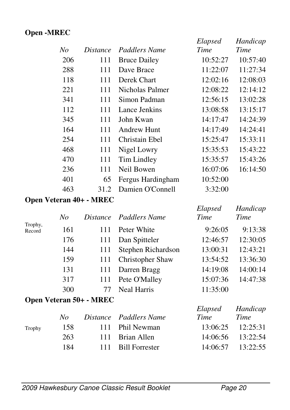#### **Open -MREC**

|     |                 |                     | Elapsed  | Handicap |
|-----|-----------------|---------------------|----------|----------|
| No  | <i>Distance</i> | Paddlers Name       | Time     | Time     |
| 206 | 111             | <b>Bruce Dailey</b> | 10:52:27 | 10:57:40 |
| 288 | 111             | Dave Brace          | 11:22:07 | 11:27:34 |
| 118 | 111             | Derek Chart         | 12:02:16 | 12:08:03 |
| 221 | 111             | Nicholas Palmer     | 12:08:22 | 12:14:12 |
| 341 | 111             | Simon Padman        | 12:56:15 | 13:02:28 |
| 112 | 111             | Lance Jenkins       | 13:08:58 | 13:15:17 |
| 345 | 111             | John Kwan           | 14:17:47 | 14:24:39 |
| 164 | 111             | Andrew Hunt         | 14:17:49 | 14:24:41 |
| 254 | 111             | Christain Ebel      | 15:25:47 | 15:33:11 |
| 468 | 111             | Nigel Lowry         | 15:35:53 | 15:43:22 |
| 470 | 111             | Tim Lindley         | 15:35:57 | 15:43:26 |
| 236 | 111             | Neil Bowen          | 16:07:06 | 16:14:50 |
| 401 | 65              | Fergus Hardingham   | 10:52:00 |          |
| 463 | 31.2            | Damien O'Connell    | 3:32:00  |          |
|     |                 |                     |          |          |

#### **Open Veteran 40+ - MREC**

|                   | No  |                                | Distance Paddlers Name | Elapsed<br>Time | Handicap<br>Time |
|-------------------|-----|--------------------------------|------------------------|-----------------|------------------|
| Trophy,<br>Record | 161 | 111                            | Peter White            | 9:26:05         | 9:13:38          |
|                   | 176 | 111                            | Dan Spitteler          | 12:46:57        | 12:30:05         |
|                   | 144 | 111                            | Stephen Richardson     | 13:00:31        | 12:43:21         |
|                   | 159 | 111                            | Christopher Shaw       | 13:54:52        | 13:36:30         |
|                   | 131 | 111                            | Darren Bragg           | 14:19:08        | 14:00:14         |
|                   | 317 | 111                            | Pete O'Malley          | 15:07:36        | 14:47:38         |
|                   | 300 | 77                             | <b>Neal Harris</b>     | 11:35:00        |                  |
|                   |     | <b>Open Veteran 50+ - MREC</b> |                        |                 |                  |

|        |     |                        | Elapsed | Handicap              |
|--------|-----|------------------------|---------|-----------------------|
|        | No  | Distance Paddlers Name | Time    | Time                  |
| Trophy | 158 | 111 Phil Newman        |         | $13:06:25$ $12:25:31$ |
|        | 263 | 111 Brian Allen        |         | 14:06:56 13:22:54     |
|        | 184 | 111 Bill Forrester     |         | $14:06:57$ $13:22:55$ |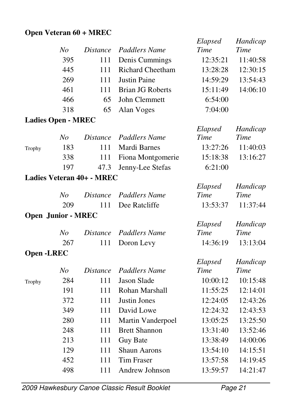#### **Open Veteran 60 + MREC**

|        |                           |                 |                         | Elapsed  | Handicap |
|--------|---------------------------|-----------------|-------------------------|----------|----------|
|        | No                        | <i>Distance</i> | Paddlers Name           | Time     | Time     |
|        | 395                       | 111             | Denis Cummings          | 12:35:21 | 11:40:58 |
|        | 445                       | 111             | <b>Richard Cheetham</b> | 13:28:28 | 12:30:15 |
|        | 269                       | 111             | <b>Justin Paine</b>     | 14:59:29 | 13:54:43 |
|        | 461                       | 111             | Brian JG Roberts        | 15:11:49 | 14:06:10 |
|        | 466                       | 65              | John Clemmett           | 6:54:00  |          |
|        | 318                       | 65              | Alan Voges              | 7:04:00  |          |
|        | <b>Ladies Open - MREC</b> |                 |                         |          |          |
|        |                           |                 |                         | Elapsed  | Handicap |
|        | No                        | <i>Distance</i> | Paddlers Name           | Time     | Time     |
| Trophy | 183                       | 111             | Mardi Barnes            | 13:27:26 | 11:40:03 |
|        | 338                       | 111             | Fiona Montgomerie       | 15:18:38 | 13:16:27 |

#### **Ladies Veteran 40+ - MREC**

Ladies

|                           |     |     |                        | Elapsed  | Handicap |
|---------------------------|-----|-----|------------------------|----------|----------|
|                           | No  |     | Distance Paddlers Name | Time     | Time     |
|                           | 209 | 111 | Dee Ratcliffe          | 13:53:37 | 11:37:44 |
| <b>Open Junior - MREC</b> |     |     |                        |          |          |
|                           |     |     |                        | Elapsed  | Handicap |
|                           | No  |     | Distance Paddlers Name | Time     | Time     |
|                           | 267 |     | 111 Doron Levy         | 14:36:19 | 13:13:04 |
| <b>Open -LREC</b>         |     |     |                        |          |          |
|                           |     |     |                        | Elapsed  | Handicap |

197 47.3 Jenny-Lee Stefas 6:21:00

|        | No  |     | Distance Paddlers Name | Time     | Time     |
|--------|-----|-----|------------------------|----------|----------|
| Trophy | 284 | 111 | Jason Slade            | 10:00:12 | 10:15:48 |
|        | 191 | 111 | Rohan Marshall         | 11:55:25 | 12:14:01 |
|        | 372 | 111 | Justin Jones           | 12:24:05 | 12:43:26 |
|        | 349 | 111 | David Lowe             | 12:24:32 | 12:43:53 |
|        | 280 | 111 | Martin Vanderpoel      | 13:05:25 | 13:25:50 |
|        | 248 | 111 | <b>Brett Shannon</b>   | 13:31:40 | 13:52:46 |
|        | 213 | 111 | <b>Guy Bate</b>        | 13:38:49 | 14:00:06 |
|        | 129 | 111 | <b>Shaun Aarons</b>    | 13:54:10 | 14:15:51 |
|        | 452 | 111 | Tim Fraser             | 13:57:58 | 14:19:45 |
|        | 498 |     | Andrew Johnson         | 13:59:57 | 14:21:47 |

2009 Hawkesbury Canoe Classic Result Booklet Page 21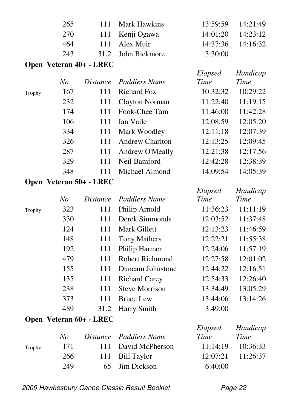|  | 3:30:00                                                                    |                                                                         |
|--|----------------------------------------------------------------------------|-------------------------------------------------------------------------|
|  | 111 Mark Hawkins<br>111 Kenji Ogawa<br>111 Alex Muir<br>31.2 John Bickmore | $13:59:59$ $14:21:49$<br>$14:01:20$ $14:23:12$<br>$14:37:36$ $14:16:32$ |

#### **Open Veteran 40+ - LREC**

|        |     |     |                        | Elapsed  | Handicap |
|--------|-----|-----|------------------------|----------|----------|
|        | No  |     | Distance Paddlers Name | Time     | Time     |
| Trophy | 167 | 111 | Richard Fox            | 10:32:32 | 10:29:22 |
|        | 232 | 111 | Clayton Norman         | 11:22:40 | 11:19:15 |
|        | 174 | 111 | Fook-Chee Tam          | 11:46:00 | 11:42:28 |
|        | 106 | 111 | Ian Vaile              | 12:08:59 | 12:05:20 |
|        | 334 | 111 | Mark Woodley           | 12:11:18 | 12:07:39 |
|        | 326 | 111 | Andrew Charlton        | 12:13:25 | 12:09:45 |
|        | 287 | 111 | Andrew O'Meally        | 12:21:38 | 12:17:56 |
|        | 329 | 111 | Neil Bamford           | 12:42:28 | 12:38:39 |
|        | 348 | 111 | Michael Almond         | 14:09:54 | 14:05:39 |
|        |     |     |                        |          |          |

#### **Open Veteran 50+ - LREC**

|        |     |      |                        | Elapsed  | Handicap |
|--------|-----|------|------------------------|----------|----------|
|        | No  |      | Distance Paddlers Name | Time     | Time     |
| Trophy | 323 | 111  | Philip Arnold          | 11:36:23 | 11:11:19 |
|        | 330 | 111  | Derek Simmonds         | 12:03:52 | 11:37:48 |
|        | 124 | 111  | Mark Gillett           | 12:13:23 | 11:46:59 |
|        | 148 | 111  | Tony Mathers           | 12:22:21 | 11:55:38 |
|        | 192 | 111  | Philip Harmer          | 12:24:06 | 11:57:19 |
|        | 479 | 111  | Robert Richmond        | 12:27:58 | 12:01:02 |
|        | 155 | 111  | Duncam Johnstone       | 12:44:22 | 12:16:51 |
|        | 135 | 111  | <b>Richard Carey</b>   | 12:54:33 | 12:26:40 |
|        | 238 | 111  | <b>Steve Morrison</b>  | 13:34:49 | 13:05:29 |
|        | 373 | 111  | <b>Bruce Lew</b>       | 13:44:06 | 13:14:26 |
|        | 489 | 31.2 | Harry Smith            | 3:49:00  |          |

#### **Open Veteran 60+ - LREC**

|        |     |                        | Elapsed | Handicap              |
|--------|-----|------------------------|---------|-----------------------|
|        | No  | Distance Paddlers Name | Time    | Time                  |
| Trophy | 171 | 111 David McPherson    |         | $11:14:19$ $10:36:33$ |
|        | 266 | 111 Bill Taylor        |         | $12:07:21$ $11:26:37$ |
|        | 249 | 65 Jim Dickson         | 6:40:00 |                       |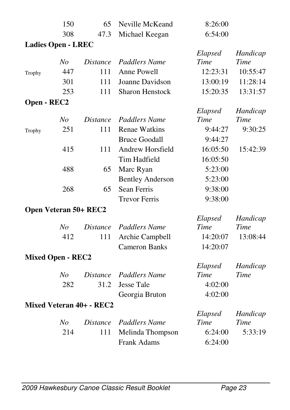|             | 150                          | 65                              | Neville McKeand         | 8:26:00         |                         |
|-------------|------------------------------|---------------------------------|-------------------------|-----------------|-------------------------|
|             | 308                          | 47.3                            | Michael Keegan          | 6:54:00         |                         |
|             | <b>Ladies Open - LREC</b>    |                                 |                         |                 |                         |
|             |                              |                                 |                         | Elapsed         | Handicap                |
|             | N <sub>O</sub>               | <i>Distance</i>                 | <b>Paddlers Name</b>    | Time            | <b>Time</b>             |
| Trophy      | 447                          | 111                             | Anne Powell             | 12:23:31        | 10:55:47                |
|             | 301                          | 111                             | Joanne Davidson         | 13:00:19        | 11:28:14                |
|             | 253                          | 111                             | <b>Sharon Henstock</b>  | 15:20:35        | 13:31:57                |
| Open - REC2 |                              |                                 |                         |                 |                         |
|             |                              |                                 |                         | Elapsed         | Handicap                |
|             | N <sub>o</sub>               | <i>Distance</i>                 | <b>Paddlers Name</b>    | Time            | <b>Time</b>             |
| Trophy      | 251                          | 111                             | <b>Renae Watkins</b>    | 9:44:27         | 9:30:25                 |
|             |                              |                                 | <b>Bruce Goodall</b>    | 9:44:27         |                         |
|             | 415                          | 111                             | <b>Andrew Horsfield</b> | 16:05:50        | 15:42:39                |
|             |                              |                                 | Tim Hadfield            | 16:05:50        |                         |
|             | 488                          | 65                              | Marc Ryan               | 5:23:00         |                         |
|             |                              |                                 | <b>Bentley Anderson</b> | 5:23:00         |                         |
|             | 268                          | 65                              | <b>Sean Ferris</b>      | 9:38:00         |                         |
|             |                              |                                 | <b>Trevor Ferris</b>    | 9:38:00         |                         |
|             | <b>Open Veteran 50+ REC2</b> |                                 |                         |                 |                         |
|             |                              |                                 |                         | Elapsed         | Handicap                |
|             | N <sub>o</sub>               | <i>Distance</i>                 | <b>Paddlers Name</b>    | Time            | Time                    |
|             | 412                          | 111                             | Archie Campbell         | 14:20:07        | 13:08:44                |
|             |                              |                                 | <b>Cameron Banks</b>    | 14:20:07        |                         |
|             | <b>Mixed Open - REC2</b>     |                                 |                         |                 |                         |
|             |                              |                                 |                         | Elapsed         | Handicap                |
|             | N <sub>O</sub>               | <b>Distance</b>                 | Paddlers Name           | Time            | Time                    |
|             | 282                          | 31.2                            | <b>Jesse Tale</b>       | 4:02:00         |                         |
|             |                              |                                 | Georgia Bruton          | 4:02:00         |                         |
|             |                              | <b>Mixed Veteran 40+ - REC2</b> |                         |                 |                         |
|             | N <sub>o</sub>               | <b>Distance</b>                 | <b>Paddlers Name</b>    | Elapsed<br>Time | Handicap<br><b>Time</b> |
|             | 214                          | 111                             | Melinda Thompson        | 6:24:00         | 5:33:19                 |
|             |                              |                                 | <b>Frank Adams</b>      | 6:24:00         |                         |
|             |                              |                                 |                         |                 |                         |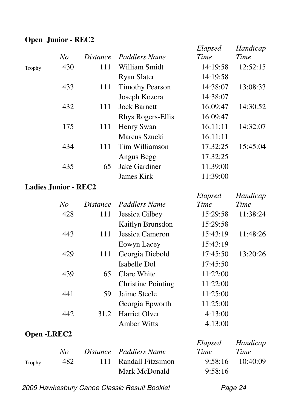### **Open Junior - REC2**

|        | No                          | <i>Distance</i> | Paddlers Name          | Elapsed<br>Time | Handicap<br>Time |
|--------|-----------------------------|-----------------|------------------------|-----------------|------------------|
| Trophy | 430                         | 111             | William Smidt          | 14:19:58        | 12:52:15         |
|        |                             |                 | <b>Ryan Slater</b>     | 14:19:58        |                  |
|        | 433                         | 111             | <b>Timothy Pearson</b> | 14:38:07        | 13:08:33         |
|        |                             |                 | Joseph Kozera          | 14:38:07        |                  |
|        | 432                         | 111             | <b>Jock Barnett</b>    | 16:09:47        | 14:30:52         |
|        |                             |                 | Rhys Rogers-Ellis      | 16:09:47        |                  |
|        | 175                         | 111             | Henry Swan             | 16:11:11        | 14:32:07         |
|        |                             |                 | Marcus Szucki          | 16:11:11        |                  |
|        | 434                         | 111             | Tim Williamson         | 17:32:25        | 15:45:04         |
|        |                             |                 | Angus Begg             | 17:32:25        |                  |
|        | 435                         | 65              | Jake Gardiner          | 11:39:00        |                  |
|        |                             |                 | James Kirk             | 11:39:00        |                  |
|        | <b>Ladies Junior - REC2</b> |                 |                        |                 |                  |

|             |     |                 |                           | Elapsed  | Handicap |
|-------------|-----|-----------------|---------------------------|----------|----------|
|             | No  | <i>Distance</i> | Paddlers Name             | Time     | Time     |
|             | 428 | 111             | Jessica Gilbey            | 15:29:58 | 11:38:24 |
|             |     |                 | Kaitlyn Brunsdon          | 15:29:58 |          |
|             | 443 | 111             | Jessica Cameron           | 15:43:19 | 11:48:26 |
|             |     |                 | Eowyn Lacey               | 15:43:19 |          |
|             | 429 | 111             | Georgia Diebold           | 17:45:50 | 13:20:26 |
|             |     |                 | Isabelle Dol              | 17:45:50 |          |
|             | 439 | 65              | Clare White               | 11:22:00 |          |
|             |     |                 | <b>Christine Pointing</b> | 11:22:00 |          |
|             | 441 | 59              | Jaime Steele              | 11:25:00 |          |
|             |     |                 | Georgia Epworth           | 11:25:00 |          |
|             | 442 | 31.2            | Harriet Olver             | 4:13:00  |          |
|             |     |                 | <b>Amber Witts</b>        | 4:13:00  |          |
| Open -LREC2 |     |                 |                           |          |          |
|             |     |                 |                           | Elapsed  | Handicap |
|             | No  | <i>Distance</i> | Paddlers Name             | Time     | Time     |
| Trophy      | 482 | 111             | Randall Fitzsimon         | 9:58:16  | 10:40:09 |
|             |     |                 | Mark McDonald             | 9:58:16  |          |

2009 Hawkesbury Canoe Classic Result Booklet Page 24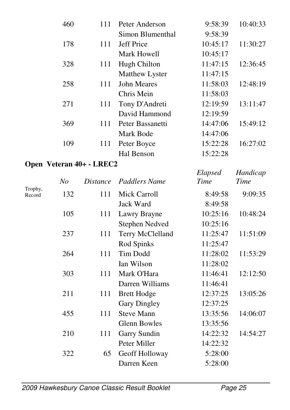|         | 460            | 111                      | Peter Anderson        | 9:58:39     | 10:40:33    |
|---------|----------------|--------------------------|-----------------------|-------------|-------------|
|         |                |                          | Simon Blumenthal      | 9:58:39     |             |
|         | 178            | 111                      | <b>Jeff Price</b>     | 10:45:17    | 11:30:27    |
|         |                |                          | Mark Howell           | 10:45:17    |             |
|         | 328            | 111                      | <b>Hugh Chilton</b>   | 11:47:15    | 12:36:45    |
|         |                |                          | Matthew Lyster        | 11:47:15    |             |
|         | 258            | 111                      | <b>John Meares</b>    | 11:58:03    | 12:48:19    |
|         |                |                          | Chris Mein            | 11:58:03    |             |
|         | 271            | 111                      | Tony D'Andreti        | 12:19:59    | 13:11:47    |
|         |                |                          | David Hammond         | 12:19:59    |             |
|         | 369            | 111                      | Peter Bassanetti      | 14:47:06    | 15:49:12    |
|         |                |                          | Mark Bode             | 14:47:06    |             |
|         | 109            | 111                      | Peter Boyce           | 15:22:28    | 16:27:02    |
|         |                |                          | <b>Hal Benson</b>     | 15:22:28    |             |
|         |                | Open Veteran 40+ - LREC2 |                       |             |             |
|         |                |                          |                       | Elapsed     | Handicap    |
| Trophy, | N <sub>O</sub> | <i>Distance</i>          | <b>Paddlers Name</b>  | <b>Time</b> | <b>Time</b> |
| Record  | 132            | 111                      | <b>Mick Carroll</b>   | 8:49:58     | 9:09:35     |
|         |                |                          | Jack Ward             | 8:49:58     |             |
|         | 105            | 111                      | Lawry Brayne          | 10:25:16    | 10:48:24    |
|         |                |                          | <b>Stephen Nedved</b> | 10:25:16    |             |
|         | 237            | 111                      | Terry McClelland      | 11:25:47    | 11:51:09    |
|         |                |                          | Rod Spinks            | 11:25:47    |             |
|         | 264            | 111                      | Tim Dodd              | 11:28:02    | 11:53:29    |
|         |                |                          | Ian Wilson            | 11:28:02    |             |
|         | 303            | 111                      | Mark O'Hara           | 11:46:41    | 12:12:50    |
|         |                |                          | Darren Williams       | 11:46:41    |             |
|         | 211            | 111                      | <b>Brett Hodge</b>    | 12:37:25    | 13:05:26    |
|         |                |                          | <b>Gary Dingley</b>   | 12:37:25    |             |
|         | 455            | 111                      | <b>Steve Mann</b>     | 13:35:56    | 14:06:07    |
|         |                |                          | <b>Glenn Bowles</b>   | 13:35:56    |             |
|         | 210            | 111                      | Garry Sundin          | 14:22:32    | 14:54:27    |
|         |                |                          | Peter Miller          | 14:22:32    |             |
|         | 322            | 65                       | Geoff Holloway        | 5:28:00     |             |
|         |                |                          | Darren Keen           | 5:28:00     |             |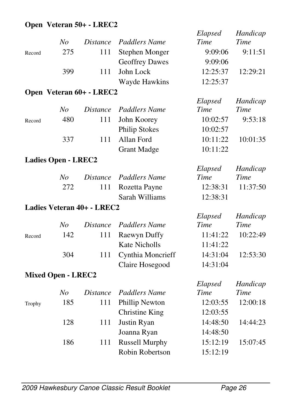#### **Open Veteran 50+ - LREC2**

|        | N <sub>o</sub>             | <b>Distance</b>            | <b>Paddlers Name</b>  | Elapsed<br>Time | Handicap<br><b>Time</b> |
|--------|----------------------------|----------------------------|-----------------------|-----------------|-------------------------|
| Record | 275                        | 111                        | <b>Stephen Monger</b> | 9:09:06         | 9:11:51                 |
|        |                            |                            | <b>Geoffrey Dawes</b> | 9:09:06         |                         |
|        | 399                        | 111                        | John Lock             | 12:25:37        | 12:29:21                |
|        |                            |                            | Wayde Hawkins         | 12:25:37        |                         |
|        |                            | Open Veteran 60+ - LREC2   |                       |                 |                         |
|        |                            |                            |                       | Elapsed         | Handicap                |
|        | N <sub>o</sub>             | <b>Distance</b>            | <b>Paddlers Name</b>  | Time            | <b>Time</b>             |
| Record | 480                        | 111                        | John Koorey           | 10:02:57        | 9:53:18                 |
|        |                            |                            | <b>Philip Stokes</b>  | 10:02:57        |                         |
|        | 337                        | 111                        | Allan Ford            | 10:11:22        | 10:01:35                |
|        |                            |                            | <b>Grant Madge</b>    | 10:11:22        |                         |
|        | <b>Ladies Open - LREC2</b> |                            |                       |                 |                         |
|        |                            |                            |                       | Elapsed         | Handicap                |
|        | N <sub>O</sub>             | <i>Distance</i>            | <b>Paddlers Name</b>  | Time            | Time                    |
|        | 272                        | 111                        | Rozetta Payne         | 12:38:31        | 11:37:50                |
|        |                            |                            | Sarah Williams        | 12:38:31        |                         |
|        |                            | Ladies Veteran 40+ - LREC2 |                       |                 |                         |
|        |                            |                            |                       | Elapsed         | Handicap                |
|        | N <sub>O</sub>             | <b>Distance</b>            | <b>Paddlers Name</b>  | Time            | <b>Time</b>             |
| Record | 142                        | 111                        | Raewyn Duffy          | 11:41:22        | 10:22:49                |
|        |                            |                            | <b>Kate Nicholls</b>  | 11:41:22        |                         |
|        | 304                        | 111                        | Cynthia Moncrieff     | 14:31:04        | 12:53:30                |
|        |                            |                            | Claire Hosegood       | 14:31:04        |                         |
|        | <b>Mixed Open - LREC2</b>  |                            |                       |                 |                         |
|        |                            |                            |                       | Elapsed         | Handicap                |
|        | N <sub>O</sub>             | <b>Distance</b>            | <b>Paddlers Name</b>  | Time            | <b>Time</b>             |
| Trophy | 185                        | 111                        | Phillip Newton        | 12:03:55        | 12:00:18                |
|        |                            |                            | <b>Christine King</b> | 12:03:55        |                         |
|        | 128                        | 111                        | Justin Ryan           | 14:48:50        | 14:44:23                |
|        |                            |                            | Joanna Ryan           | 14:48:50        |                         |
|        | 186                        | 111                        | <b>Russell Murphy</b> | 15:12:19        | 15:07:45                |
|        |                            |                            | Robin Robertson       | 15:12:19        |                         |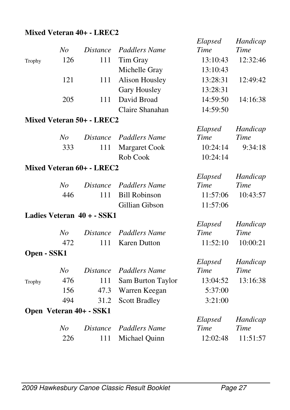### **Mixed Veteran 40+ - LREC2**

|             |                |                            |                       | Elapsed                | Handicap                |
|-------------|----------------|----------------------------|-----------------------|------------------------|-------------------------|
|             | N <sub>o</sub> | <i>Distance</i>            | <b>Paddlers Name</b>  | Time                   | <b>Time</b>             |
| Trophy      | 126            | 111                        | Tim Gray              | 13:10:43               | 12:32:46                |
|             |                |                            | Michelle Gray         | 13:10:43               |                         |
|             | 121            | 111                        | <b>Alison Housley</b> | 13:28:31               | 12:49:42                |
|             |                |                            | Gary Housley          | 13:28:31               |                         |
|             | 205            | 111                        | David Broad           | 14:59:50               | 14:16:38                |
|             |                |                            | Claire Shanahan       | 14:59:50               |                         |
|             |                | Mixed Veteran 50+ - LREC2  |                       |                        |                         |
|             |                |                            |                       | Elapsed                | Handicap                |
|             | N <sub>O</sub> | <i>Distance</i>            | Paddlers Name         | Time                   | <b>Time</b>             |
|             | 333            | 111                        | <b>Margaret Cook</b>  | 10:24:14               | 9:34:18                 |
|             |                |                            | Rob Cook              | 10:24:14               |                         |
|             |                | Mixed Veteran 60+ - LREC2  |                       |                        |                         |
|             |                |                            |                       | Elapsed                | Handicap                |
|             | N <sub>O</sub> | <i>Distance</i>            | <b>Paddlers Name</b>  | Time                   | Time                    |
|             | 446            | 111                        | <b>Bill Robinson</b>  | 11:57:06               | 10:43:57                |
|             |                |                            | Gillian Gibson        | 11:57:06               |                         |
|             |                | Ladies Veteran 40 + - SSK1 |                       |                        |                         |
|             |                |                            |                       | Elapsed                | Handicap                |
|             | N <sub>O</sub> | <i>Distance</i>            | <b>Paddlers Name</b>  | Time                   | Time                    |
|             | 472            | 111                        | <b>Karen Dutton</b>   | 11:52:10               | 10:00:21                |
| Open - SSK1 |                |                            |                       |                        |                         |
|             |                |                            | <b>Paddlers Name</b>  | Elapsed<br><b>Time</b> | Handicap<br><b>Time</b> |
|             | N <sub>O</sub> | <i>Distance</i>            |                       |                        |                         |
| Trophy      | 476            | 111                        | Sam Burton Taylor     | 13:04:52               | 13:16:38                |
|             | 156            | 47.3                       | Warren Keegan         | 5:37:00                |                         |
|             | 494            | 31.2                       | <b>Scott Bradley</b>  | 3:21:00                |                         |
|             |                | Open Veteran 40+ - SSK1    |                       |                        |                         |
|             | N <sub>O</sub> | <i>Distance</i>            | <b>Paddlers Name</b>  | Elapsed<br>Time        | Handicap<br><b>Time</b> |
|             | 226            | 111                        |                       | 12:02:48               | 11:51:57                |
|             |                |                            | Michael Quinn         |                        |                         |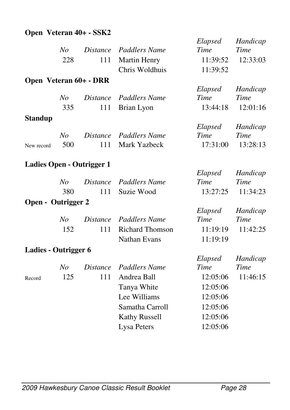### **Open Veteran 40+ - SSK2**

|                      |                |                           |                        | Elapsed  | Handicap    |
|----------------------|----------------|---------------------------|------------------------|----------|-------------|
|                      | N <sub>O</sub> | <b>Distance</b>           | Paddlers Name          | Time     | <b>Time</b> |
|                      | 228            | 111                       | <b>Martin Henry</b>    | 11:39:52 | 12:33:03    |
|                      |                |                           | Chris Woldhuis         | 11:39:52 |             |
|                      |                | Open Veteran 60+ - DRR    |                        |          |             |
|                      |                |                           |                        | Elapsed  | Handicap    |
|                      | N <sub>o</sub> | <i>Distance</i>           | <b>Paddlers Name</b>   | Time     | <b>Time</b> |
|                      | 335            | 111                       | Brian Lyon             | 13:44:18 | 12:01:16    |
| <b>Standup</b>       |                |                           |                        |          |             |
|                      |                |                           |                        | Elapsed  | Handicap    |
|                      | No             | <i>Distance</i>           | <b>Paddlers Name</b>   | Time     | <b>Time</b> |
| New record           | 500            | 111                       | Mark Yazbeck           | 17:31:00 | 13:28:13    |
|                      |                | Ladies Open - Outrigger 1 |                        |          |             |
|                      |                |                           |                        | Elapsed  | Handicap    |
|                      | No             | <b>Distance</b>           | <b>Paddlers Name</b>   | Time     | Time        |
|                      | 380            | 111                       | Suzie Wood             | 13:27:25 | 11:34:23    |
| Open - Outrigger 2   |                |                           |                        |          |             |
|                      |                |                           |                        | Elapsed  | Handicap    |
|                      | N <sub>O</sub> | <b>Distance</b>           | <b>Paddlers Name</b>   | Time     | Time        |
|                      | 152            | 111                       | <b>Richard Thomson</b> | 11:19:19 | 11:42:25    |
|                      |                |                           | <b>Nathan Evans</b>    | 11:19:19 |             |
| Ladies - Outrigger 6 |                |                           |                        |          |             |
|                      |                |                           |                        | Elapsed  | Handicap    |
|                      | N <sub>o</sub> | <b>Distance</b>           | <b>Paddlers Name</b>   | Time     | <b>Time</b> |
| Record               | 125            | 111                       | Andrea Ball            | 12:05:06 | 11:46:15    |
|                      |                |                           | Tanya White            | 12:05:06 |             |
|                      |                |                           | Lee Williams           | 12:05:06 |             |
|                      |                |                           | Samatha Carroll        | 12:05:06 |             |
|                      |                |                           | <b>Kathy Russell</b>   | 12:05:06 |             |
|                      |                |                           | Lysa Peters            | 12:05:06 |             |
|                      |                |                           |                        |          |             |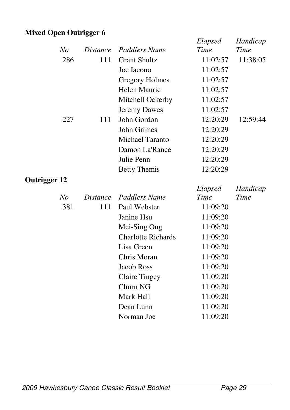### **Mixed Open Outrigger 6**

|                     |                |                 |                           | Elapsed  | Handicap |
|---------------------|----------------|-----------------|---------------------------|----------|----------|
|                     | No             | <i>Distance</i> | <b>Paddlers Name</b>      | Time     | Time     |
|                     | 286            | 111             | <b>Grant Shultz</b>       | 11:02:57 | 11:38:05 |
|                     |                |                 | Joe Iacono                | 11:02:57 |          |
|                     |                |                 | Gregory Holmes            | 11:02:57 |          |
|                     |                |                 | Helen Mauric              | 11:02:57 |          |
|                     |                |                 | Mitchell Ockerby          | 11:02:57 |          |
|                     |                |                 | <b>Jeremy Dawes</b>       | 11:02:57 |          |
|                     | 227            | 111             | John Gordon               | 12:20:29 | 12:59:44 |
|                     |                |                 | <b>John Grimes</b>        | 12:20:29 |          |
|                     |                |                 | <b>Michael Taranto</b>    | 12:20:29 |          |
|                     |                |                 | Damon La'Rance            | 12:20:29 |          |
|                     |                |                 | Julie Penn                | 12:20:29 |          |
|                     |                |                 | <b>Betty Themis</b>       | 12:20:29 |          |
| <b>Outrigger 12</b> |                |                 |                           |          |          |
|                     |                |                 |                           |          |          |
|                     |                |                 |                           | Elapsed  | Handicap |
|                     | N <sub>O</sub> | <i>Distance</i> | Paddlers Name             | Time     | Time     |
|                     | 381            | 111             | Paul Webster              | 11:09:20 |          |
|                     |                |                 | Janine Hsu                | 11:09:20 |          |
|                     |                |                 | Mei-Sing Ong              | 11:09:20 |          |
|                     |                |                 | <b>Charlotte Richards</b> | 11:09:20 |          |
|                     |                |                 | Lisa Green                | 11:09:20 |          |
|                     |                |                 | Chris Moran               | 11:09:20 |          |
|                     |                |                 | <b>Jacob Ross</b>         | 11:09:20 |          |
|                     |                |                 | <b>Claire Tingey</b>      | 11:09:20 |          |
|                     |                |                 | Churn NG                  | 11:09:20 |          |
|                     |                |                 | Mark Hall                 | 11:09:20 |          |
|                     |                |                 | Dean Lunn                 | 11:09:20 |          |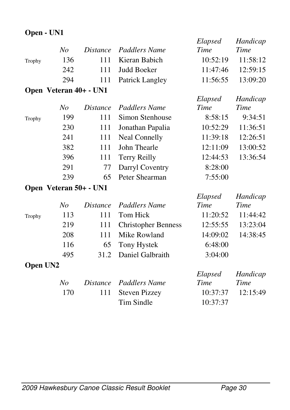### **Open - UN1**

|        |                        |                 |                            | Elapsed  | Handicap    |
|--------|------------------------|-----------------|----------------------------|----------|-------------|
|        | No                     | <i>Distance</i> | Paddlers Name              | Time     | Time        |
| Trophy | 136                    | 111             | Kieran Babich              | 10:52:19 | 11:58:12    |
|        | 242                    | 111             | <b>Judd Boeker</b>         | 11:47:46 | 12:59:15    |
|        | 294                    | 111             | Patrick Langley            | 11:56:55 | 13:09:20    |
|        | Open Veteran 40+ - UN1 |                 |                            |          |             |
|        |                        |                 |                            | Elapsed  | Handicap    |
|        | No                     | <i>Distance</i> | Paddlers Name              | Time     | <b>Time</b> |
| Trophy | 199                    | 111             | Simon Stenhouse            | 8:58:15  | 9:34:51     |
|        | 230                    | 111             | Jonathan Papalia           | 10:52:29 | 11:36:51    |
|        | 241                    | 111             | <b>Neal Connelly</b>       | 11:39:18 | 12:26:51    |
|        | 382                    | 111             | John Thearle               | 12:11:09 | 13:00:52    |
|        | 396                    | 111             | <b>Terry Reilly</b>        | 12:44:53 | 13:36:54    |
|        | 291                    | 77              | Darryl Coventry            | 8:28:00  |             |
|        | 239                    | 65              | Peter Shearman             | 7:55:00  |             |
|        | Open Veteran 50+ - UN1 |                 |                            |          |             |
|        |                        |                 |                            | Elapsed  | Handicap    |
|        | No                     | <i>Distance</i> | <b>Paddlers Name</b>       | Time     | Time        |
| Trophy | 113                    | 111             | Tom Hick                   | 11:20:52 | 11:44:42    |
|        | 219                    | 111             | <b>Christopher Benness</b> | 12:55:55 | 13:23:04    |
|        | 208                    | 111             | Mike Rowland               | 14:09:02 | 14:38:45    |
|        | 116                    | 65              | Tony Hystek                | 6:48:00  |             |
|        | 495                    | 31.2            | Daniel Galbraith           | 3:04:00  |             |
|        |                        |                 |                            |          |             |

#### **Open UN2**

|            | Elapsed                                     | Handicap              |
|------------|---------------------------------------------|-----------------------|
|            | Time                                        | Time                  |
|            |                                             | $10:37:37$ $12:15:49$ |
| Tim Sindle | 10:37:37                                    |                       |
|            | Distance Paddlers Name<br>111 Steven Pizzey |                       |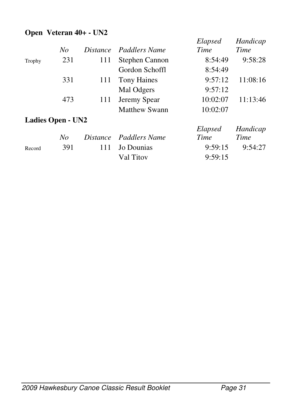#### **Open Veteran 40+ - UN2**

|        |                          |                 |                        | Elapsed  | Handicap |
|--------|--------------------------|-----------------|------------------------|----------|----------|
|        | No                       |                 | Distance Paddlers Name | Time     | Time     |
| Trophy | 231                      | 111             | Stephen Cannon         | 8:54:49  | 9:58:28  |
|        |                          |                 | Gordon Schoffl         | 8:54:49  |          |
|        | 331                      | 111             | <b>Tony Haines</b>     | 9:57:12  | 11:08:16 |
|        |                          |                 | Mal Odgers             | 9:57:12  |          |
|        | 473                      | 111             | Jeremy Spear           | 10:02:07 | 11:13:46 |
|        |                          |                 | Matthew Swann          | 10:02:07 |          |
|        | <b>Ladies Open - UN2</b> |                 |                        |          |          |
|        |                          |                 |                        | Elapsed  | Handicap |
|        | No                       | <i>Distance</i> | Paddlers Name          | Time     | Time     |
| Record | 391                      | 111             | Jo Dounias             | 9:59:15  | 9:54:27  |
|        |                          |                 | Val Titov              | 9:59:15  |          |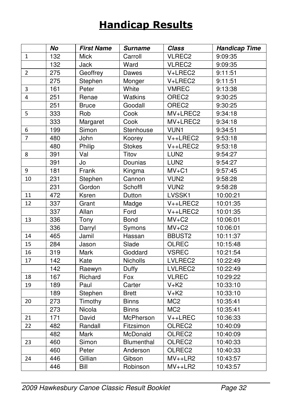# Handicap Results

|                | No               | <b>First Name</b> | <b>Surname</b> | <b>Class</b>      | <b>Handicap Time</b> |
|----------------|------------------|-------------------|----------------|-------------------|----------------------|
| 1              | 132              | <b>Mick</b>       | Carroll        | VLREC2            | 9:09:35              |
|                | 132              | Jack              | Ward           | VLREC2            | 9:09:35              |
| $\overline{2}$ | 275              | Geoffrey          | Dawes          | V+LREC2           | 9:11:51              |
|                | 275              | Stephen           | Monger         | V+LREC2           | 9:11:51              |
| 3              | 161              | Peter             | White          | <b>VMREC</b>      | 9:13:38              |
| 4              | 251              | Renae             | Watkins        | OREC <sub>2</sub> | 9:30:25              |
|                | 251              | <b>Bruce</b>      | Goodall        | OREC <sub>2</sub> | 9:30:25              |
| 5              | 333              | Rob               | Cook           | MV+LREC2          | 9:34:18              |
|                | 333              | Margaret          | Cook           | MV+LREC2          | 9:34:18              |
| 6              | 199              | Simon             | Stenhouse      | VUN1              | 9:34:51              |
| $\overline{7}$ | 480              | John              | Koorey         | V++LREC2          | 9:53:18              |
|                | 480              | Philip            | <b>Stokes</b>  | V++LREC2          | 9:53:18              |
| 8              | 391              | Val               | Titov          | LUN <sub>2</sub>  | 9:54:27              |
|                | 391              | Jo                | Dounias        | LUN <sub>2</sub>  | 9:54:27              |
| 9              | 181              | Frank             | Kingma         | $MV+C1$           | 9:57:45              |
| 10             | 231              | Stephen           | Cannon         | VUN <sub>2</sub>  | 9:58:28              |
|                | 231              | Gordon            | Schoffl        | VUN <sub>2</sub>  | 9:58:28              |
| 11             | 472              | Ksren             | Dutton         | LVSSK1            | 10:00:21             |
| 12             | 337              | Grant             | Madge          | V++LREC2          | 10:01:35             |
|                | 337              | Allan             | Ford           | $V++LREC2$        | 10:01:35             |
| 13             | 336              | Tony              | Bond           | $MV+C2$           | 10:06:01             |
|                | 336              | Darryl            | Symons         | $MV+C2$           | 10:06:01             |
| 14             | 465              | Jamil             | Hassan         | BBUST2            | 10:11:37             |
| 15             | 284              | Jason             | Slade          | <b>OLREC</b>      | 10:15:48             |
| 16             | 319              | Mark              | Goddard        | <b>VSREC</b>      | 10:21:54             |
| 17             | $\overline{142}$ | Kate              | Nicholls       | LVLREC2           | 10:22:49             |
|                | 142              | Raewyn            | Duffy          | LVLREC2           | 10:22:49             |
| 18             | 167              | Richard           | Fox            | <b>VLREC</b>      | 10:29:22             |
| 19             | 189              | Paul              | Carter         | $V+K2$            | 10:33:10             |
|                | 189              | Stephen           | <b>Brett</b>   | $V+K2$            | 10:33:10             |
| 20             | 273              | Timothy           | <b>Binns</b>   | MC <sub>2</sub>   | 10:35:41             |
|                | 273              | Nicola            | <b>Binns</b>   | MC <sub>2</sub>   | 10:35:41             |
| 21             | $\frac{1}{171}$  | David             | McPherson      | $V++LREC$         | 10:36:33             |
| 22             | 482              | Randall           | Fitzsimon      | OLREC2            | 10:40:09             |
|                | 482              | Mark              | McDonald       | OLREC2            | 10:40:09             |
| 23             | 460              | Simon             | Blumenthal     | OLREC2            | 10:40:33             |
|                | 460              | Peter             | Anderson       | OLREC2            | 10:40:33             |
| 24             | 446              | Gillian           | Gibson         | $MV++LR2$         | 10:43:57             |
|                | 446              | Bill              | Robinson       | $MV++LR2$         | 10:43:57             |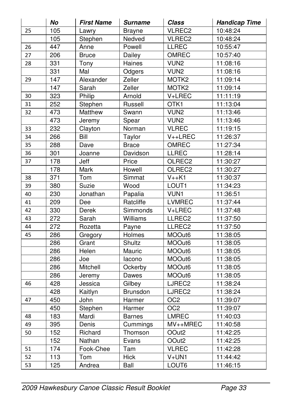|                 | No               | <b>First Name</b> | <b>Surname</b> | Class              | <b>Handicap Time</b> |
|-----------------|------------------|-------------------|----------------|--------------------|----------------------|
| 25              | 105              | Lawry             | <b>Brayne</b>  | VLREC2             | 10:48:24             |
|                 | 105              | Stephen           | Nedved         | VLREC2             | 10:48:24             |
| 26              | 447              | Anne              | Powell         | LLREC              | 10:55:47             |
| 27              | 206              | <b>Bruce</b>      | Dailey         | <b>OMREC</b>       | 10:57:40             |
| 28              | 331              | Tony              | Haines         | VUN <sub>2</sub>   | 11:08:16             |
|                 | 331              | Mal               | Odgers         | VUN <sub>2</sub>   | 11:08:16             |
| 29              | $\overline{147}$ | Alexander         | Zeller         | MOTK <sub>2</sub>  | 11:09:14             |
|                 | 147              | Sarah             | Zeller         | MOTK <sub>2</sub>  | 11:09:14             |
| 30              | $\overline{323}$ | Philip            | Arnold         | V+LREC             | 11:11:19             |
| 31              | 252              | Stephen           | Russell        | OTK1               | 11:13:04             |
| 32              | 473              | Matthew           | Swann          | VUN <sub>2</sub>   | 11:13:46             |
|                 | 473              | Jeremy            | Spear          | VUN <sub>2</sub>   | 11:13:46             |
| 33              | 232              | Clayton           | Norman         | <b>VLREC</b>       | 11:19:15             |
| 34              | 266              | Bill              | Taylor         | V++LREC            | 11:26:37             |
| 35              | 288              | Dave              | <b>Brace</b>   | <b>OMREC</b>       | 11:27:34             |
| 36              | 301              | Joanne            | Davidson       | LLREC              | 11:28:14             |
| 37              | 178              | Jeff              | Price          | OLREC2             | 11:30:27             |
|                 | $\overline{178}$ | <b>Mark</b>       | Howell         | OLREC <sub>2</sub> | 11:30:27             |
| 38              | $\overline{371}$ | $\overline{T}$ om | Simmat         | $V++K1$            | 11:30:37             |
| 39              | 380              | Suzie             | Wood           | LOUT1              | 11:34:23             |
| 40              | 230              | Jonathan          | Papalia        | <b>VUN1</b>        | 11:36:51             |
| 41              | 209              | Dee               | Ratcliffe      | <b>LVMREC</b>      | 11:37:44             |
| 42              | 330              | Derek             | Simmonds       | V+LREC             | 11:37:48             |
| $\overline{43}$ | $\overline{272}$ | Sarah             | Williams       | LLREC2             | 11:37:50             |
| 44              | 272              | Rozetta           | Payne          | LLREC2             | 11:37:50             |
| 45              | 286              | Gregory           | Holmes         | MOOut6             | 11:38:05             |
|                 | 286              | Grant             | Shultz         | MOOut6             | 11:38:05             |
|                 | 286              | Helen             | Mauric         | MOOut6             | 11:38:05             |
|                 | 286              | Joe               | lacono         | MOOut6             | 11:38:05             |
|                 | 286              | Mitchell          | Ockerby        | MOOut6             | 11:38:05             |
|                 | 286              | Jeremy            | Dawes          | MOOut6             | 11:38:05             |
| 46              | 428              | Jessica           | Gilbey         | LJREC2             | 11:38:24             |
|                 | 428              | Kaitlyn           | Brunsdon       | LJREC2             | 11:38:24             |
| 47              | 450              | John              | Harmer         | $\overline{OC2}$   | 11:39:07             |
|                 | $\overline{450}$ | Stephen           | Harmer         | OC <sub>2</sub>    | 11:39:07             |
| 48              | 183              | Mardi             | <b>Barnes</b>  | <b>LMREC</b>       | 11:40:03             |
| 49              | 395              | Denis             | Cummings       | MV++MREC           | 11:40:58             |
| 50              | 152              | Richard           | Thomson        | OOut <sub>2</sub>  | 11:42:25             |
|                 | 152              | Nathan            | Evans          | OOut <sub>2</sub>  | 11:42:25             |
| 51              | 174              | Fook-Chee         | Tam            | <b>VLREC</b>       | 11:42:28             |
| 52              | 113              | Tom               | Hick           | $V+UN1$            | 11:44:42             |
| 53              | 125              | Andrea            | Ball           | LOUT6              | 11:46:15             |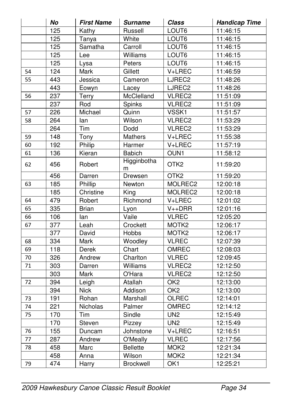|    | No               | <b>First Name</b> | <b>Surname</b>       | <b>Class</b>      | <b>Handicap Time</b> |
|----|------------------|-------------------|----------------------|-------------------|----------------------|
|    | 125              | Kathy             | Russell              | LOUT <sub>6</sub> | 11:46:15             |
|    | 125              | Tanya             | White                | LOUT6             | 11:46:15             |
|    | 125              | Samatha           | Carroll              | LOUT6             | 11:46:15             |
|    | 125              | Lee               | Williams             | LOUT6             | 11:46:15             |
|    | 125              | Lysa              | Peters               | LOUT6             | 11:46:15             |
| 54 | $\overline{124}$ | Mark              | Gillett              | V+LREC            | 11:46:59             |
| 55 | 443              | Jessica           | Cameron              | LJREC2            | 11:48:26             |
|    | 443              | Eowyn             | Lacey                | LJREC2            | 11:48:26             |
| 56 | 237              | Terry             | McClelland           | VLREC2            | 11:51:09             |
|    | 237              | Rod               | Spinks               | VLREC2            | 11:51:09             |
| 57 | 226              | Michael           | Quinn                | VSSK1             | 11:51:57             |
| 58 | 264              | lan               | Wilson               | VLREC2            | 11:53:29             |
|    | 264              | Tim               | Dodd                 | VLREC2            | 11:53:29             |
| 59 | 148              | Tony              | Mathers              | V+LREC            | 11:55:38             |
| 60 | 192              | Philip            | Harmer               | V+LREC            | 11:57:19             |
| 61 | 136              | Kieran            | <b>Babich</b>        | OUN1              | 11:58:12             |
| 62 | 456              | Robert            | Higginbotha<br>m     | OTK <sub>2</sub>  | 11:59:20             |
|    | 456              | Darren            | Drewsen              | OTK <sub>2</sub>  | 11:59:20             |
| 63 | 185              | Phillip           | Newton               | MOLREC2           | 12:00:18             |
|    | 185              | Christine         | King                 | MOLREC2           | 12:00:18             |
| 64 | 479              | Robert            | Richmond             | V+LREC            | 12:01:02             |
| 65 | 335              | <b>Brian</b>      | Lyon                 | $V++DRR$          | 12:01:16             |
| 66 | 106              | lan               | $\overline{Value}$   | <b>VLREC</b>      | 12:05:20             |
| 67 | 377              | Leah              | Crockett             | MOTK2             | 12:06:17             |
|    | 377              | David             | Hobbs                | MOTK2             | 12:06:17             |
| 68 | 334              | Mark              | Woodley              | <b>VLREC</b>      | 12:07:39             |
| 69 | 118              | Derek             | Chart                | OMREC             | 12:08:03             |
| 70 | 326              | Andrew            | Charlton             | <b>VLREC</b>      | 12:09:45             |
| 71 | 303              | Darren            | Williams             | VLREC2            | 12:12:50             |
|    | 303              | Mark              | $\overline{O}$ 'Hara | VLREC2            | 12:12:50             |
| 72 | 394              | Leigh             | Atallah              | OK2               | 12:13:00             |
|    | 394              | <b>Nick</b>       | Addison              | OK <sub>2</sub>   | 12:13:00             |
| 73 | 191              | Rohan             | Marshall             | OLREC             | 12:14:01             |
| 74 | $\overline{221}$ | Nicholas          | Palmer               | OMREC             | 12:14:12             |
| 75 | 170              | Tim               | Sindle               | UN <sub>2</sub>   | 12:15:49             |
|    | 170              | Steven            | Pizzey               | UN <sub>2</sub>   | 12:15:49             |
| 76 | 155              | Duncam            | Johnstone            | V+LREC            | 12:16:51             |
| 77 | 287              | Andrew            | O'Meally             | <b>VLREC</b>      | 12:17:56             |
| 78 | 458              | Marc              | <b>Bellette</b>      | MOK <sub>2</sub>  | 12:21:34             |
|    | 458              | Anna              | Wilson               | MOK <sub>2</sub>  | 12:21:34             |
| 79 | 474              | Harry             | Brockwell            | $\overline{OK1}$  | 12:25:21             |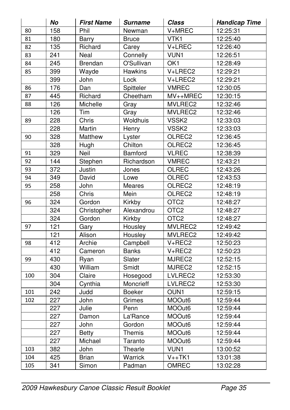|     | No               | <b>First Name</b> | <b>Surname</b> | Class             | <b>Handicap Time</b> |
|-----|------------------|-------------------|----------------|-------------------|----------------------|
| 80  | 158              | Phil              | Newman         | V+MREC            | 12:25:31             |
| 81  | 180              | Barry             | <b>Bruce</b>   | VTK1              | 12:25:40             |
| 82  | 135              | Richard           | Carey          | V+LREC            | 12:26:40             |
| 83  | 241              | Neal              | Connelly       | VUN1              | 12:26:51             |
| 84  | $\frac{1}{245}$  | Brendan           | O'Sullivan     | OK1               | 12:28:49             |
| 85  | 399              | Wayde             | <b>Hawkins</b> | $V + LREC2$       | 12:29:21             |
|     | 399              | John              | Lock           | $V+LRECI$         | 12:29:21             |
| 86  | 176              | Dan               | Spitteler      | <b>VMREC</b>      | 12:30:05             |
| 87  | 445              | Richard           | Cheetham       | MV++MREC          | 12:30:15             |
| 88  | 126              | Michelle          | Gray           | MVLREC2           | 12:32:46             |
|     | 126              | Tim               | Gray           | MVLREC2           | 12:32:46             |
| 89  | 228              | Chris             | Woldhuis       | VSSK <sub>2</sub> | 12:33:03             |
|     | 228              | Martin            | Henry          | VSSK <sub>2</sub> | 12:33:03             |
| 90  | 328              | Matthew           | Lyster         | OLREC2            | 12:36:45             |
|     | 328              | Hugh              | Chilton        | OLREC2            | 12:36:45             |
| 91  | 329              | Neil              | Bamford        | <b>VLREC</b>      | 12:38:39             |
| 92  | 144              | Stephen           | Richardson     | <b>VMREC</b>      | 12:43:21             |
| 93  | 372              | Justin            | Jones          | OLREC             | 12:43:26             |
| 94  | 349              | David             | Lowe           | OLREC             | 12:43:53             |
| 95  | 258              | John              | Meares         | OLREC2            | 12:48:19             |
|     | 258              | Chris             | Mein           | OLREC2            | 12:48:19             |
| 96  | 324              | Gordon            | Kirkby         | OTC <sub>2</sub>  | 12:48:27             |
|     | 324              | Christopher       | Alexandrou     | OTC <sub>2</sub>  | 12:48:27             |
|     | 324              | Gordon            | Kirkby         | OTC <sub>2</sub>  | 12:48:27             |
| 97  | 121              | Gary              | Housley        | MVLREC2           | 12:49:42             |
|     | 121              | Alison            | Housley        | MVLREC2           | 12:49:42             |
| 98  | 412              | Archie            | Campbell       | V+REC2            | 12:50:23             |
|     | 412              | Cameron           | <b>Banks</b>   | V+REC2            | 12:50:23             |
| 99  | 430              | Ryan              | Slater         | MJREC2            | 12:52:15             |
|     | 430              | William           | Smidt          | MJREC2            | 12:52:15             |
| 100 | $\overline{304}$ | Claire            | Hosegood       | LVLREC2           | 12:53:30             |
|     | 304              | Cynthia           | Moncrieff      | LVLREC2           | 12:53:30             |
| 101 | 242              | Judd              | <b>Boeker</b>  | OUN1              | 12:59:15             |
| 102 | 227              | John              | Grimes         | MOOut6            | 12:59:44             |
|     | 227              | Julie             | Penn           | MOOut6            | 12:59:44             |
|     | 227              | Damon             | La'Rance       | MOOut6            | 12:59:44             |
|     | 227              | John              | Gordon         | MOOut6            | 12:59:44             |
|     | 227              | <b>Betty</b>      | Themis         | MOOut6            | 12:59:44             |
|     | 227              | Michael           | Taranto        | MOOut6            | 12:59:44             |
| 103 | 382              | John              | Thearle        | VUN1              | 13:00:52             |
| 104 | 425              | Brian             | Warrick        | $V++TK1$          | 13:01:38             |
| 105 | 341              | Simon             | Padman         | OMREC             | 13:02:28             |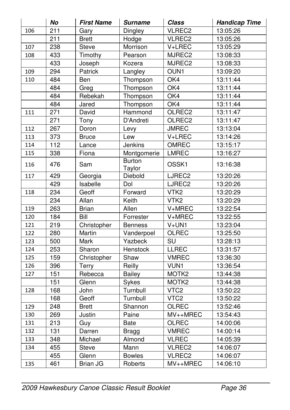|     | No               | <b>First Name</b> | <b>Surname</b>          | Class                             | <b>Handicap Time</b> |
|-----|------------------|-------------------|-------------------------|-----------------------------------|----------------------|
| 106 | $\overline{211}$ | Gary              | Dingley                 | VLREC2                            | 13:05:26             |
|     | 211              | <b>Brett</b>      | Hodge                   | VLREC2                            | 13:05:26             |
| 107 | 238              | Steve             | Morrison                | V+LREC                            | 13:05:29             |
| 108 | 433              | Timothy           | Pearson                 | MJREC2                            | 13:08:33             |
|     | 433              | Joseph            | Kozera                  | MJREC2                            | 13:08:33             |
| 109 | 294              | Patrick           | Langley                 | OUN1                              | 13:09:20             |
| 110 | 484              | Ben               | Thompson                | OK4                               | 13:11:44             |
|     | 484              | Greg              | Thompson                | OK4                               | 13:11:44             |
|     | 484              | Rebekah           | Thompson                | OK4                               | 13:11:44             |
|     | 484              | Jared             | Thompson                | OK4                               | 13:11:44             |
| 111 | 271              | David             | Hammond                 | OLREC2                            | 13:11:47             |
|     | 271              | Tony              | D'Andreti               | OLREC2                            | 13:11:47             |
| 112 | 267              | Doron             | Levy                    | <b>JMREC</b>                      | 13:13:04             |
| 113 | $\overline{373}$ | <b>Bruce</b>      | Lew                     | V+LREC                            | 13:14:26             |
| 114 | 112              | Lance             | Jenkins                 | <b>OMREC</b>                      | 13:15:17             |
| 115 | 338              | Fiona             | Montgomerie             | <b>LMREC</b>                      | 13:16:27             |
| 116 | 476              | Sam               | <b>Burton</b><br>Taylor | OSSK1                             | 13:16:38             |
| 117 | 429              | Georgia           | Diebold                 | LJREC2                            | 13:20:26             |
|     | 429              | Isabelle          | Dol                     | LJREC2                            | 13:20:26             |
| 118 | 234              | Geoff             | Forward                 | VTK <sub>2</sub>                  | 13:20:29             |
|     | 234              | Allan             | Keith                   | VTK <sub>2</sub>                  | 13:20:29             |
| 119 | 263              | <b>Brian</b>      | Allen                   | V+MREC                            | 13:22:54             |
| 120 | 184              | Bill              | Forrester               | V+MREC                            | 13:22:55             |
| 121 | 219              | Christopher       | <b>Benness</b>          | $\overline{V}$ +UN1               | 13:23:04             |
| 122 | 280              | Martin            | Vanderpoel              | <b>OLREC</b>                      | 13:25:50             |
| 123 | $\overline{500}$ | Mark              | Yazbeck                 | $\overline{\mathsf{S}}\mathsf{U}$ | 13:28:13             |
| 124 | 253              | Sharon            | Henstock                | <b>LLREC</b>                      | 13:31:57             |
| 125 | 159              | Christopher       | Shaw                    | <b>VMREC</b>                      | 13:36:30             |
| 126 | 396              | Terry             | Reilly                  | VUN1                              | 13:36:54             |
| 127 | 151              | Rebecca           | Bailey                  | MOTK2                             | 13:44:38             |
|     | 151              | Glenn             | Sykes                   | MOTK2                             | 13:44:38             |
| 128 | 168              | John              | Turnbull                | VTC <sub>2</sub>                  | 13:50:22             |
|     | 168              | Geoff             | Turnbull                | VTC <sub>2</sub>                  | 13:50:22             |
| 129 | 248              | <b>Brett</b>      | Shannon                 | OLREC                             | 13:52:46             |
| 130 | 269              | Justin            | Paine                   | MV++MREC                          | 13:54:43             |
| 131 | 213              | Guy               | <b>Bate</b>             | <b>OLREC</b>                      | 14:00:06             |
| 132 | 131              | Darren            | <b>Bragg</b>            | <b>VMREC</b>                      | 14:00:14             |
| 133 | 348              | Michael           | Almond                  | <b>VLREC</b>                      | 14:05:39             |
| 134 | 455              | Steve             | Mann                    | VLREC2                            | 14:06:07             |
|     | 455              | Glenn             | <b>Bowles</b>           | VLREC2                            | 14:06:07             |
| 135 | 461              | <b>Brian JG</b>   | Roberts                 | MV++MREC                          | 14:06:10             |